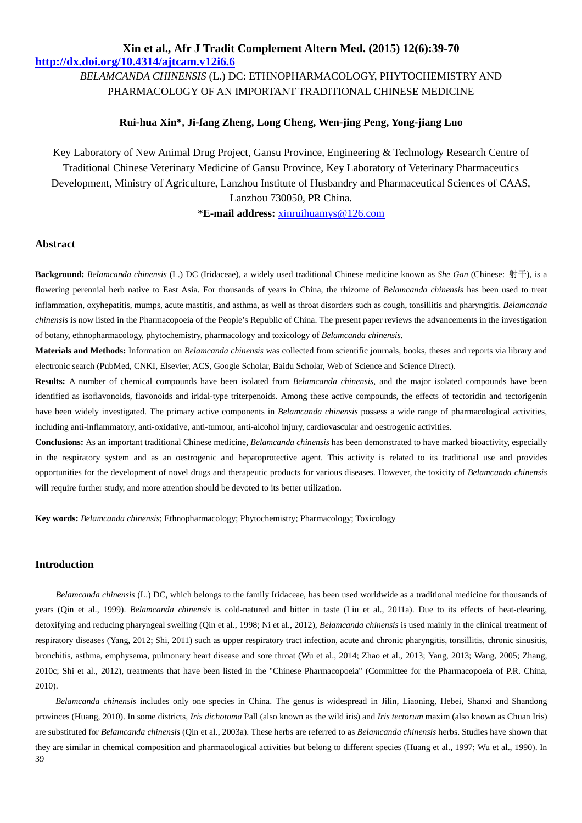## **Xin et al., Afr J Tradit Complement Altern Med. (2015) 12(6):39-70 http://dx.doi.org/10.4314/ajtcam.v12i6.6** *BELAMCANDA CHINENSIS* (L.) DC: ETHNOPHARMACOLOGY, PHYTOCHEMISTRY AND

## PHARMACOLOGY OF AN IMPORTANT TRADITIONAL CHINESE MEDICINE

### **Rui-hua Xin\*, Ji-fang Zheng, Long Cheng, Wen-jing Peng, Yong-jiang Luo**

Key Laboratory of New Animal Drug Project, Gansu Province, Engineering & Technology Research Centre of Traditional Chinese Veterinary Medicine of Gansu Province, Key Laboratory of Veterinary Pharmaceutics Development, Ministry of Agriculture, Lanzhou Institute of Husbandry and Pharmaceutical Sciences of CAAS, Lanzhou 730050, PR China.

**\*E-mail address:** xinruihuamys@126.com

### **Abstract**

**Background:** *Belamcanda chinensis* (L.) DC (Iridaceae), a widely used traditional Chinese medicine known as *She Gan* (Chinese: 射干), is a flowering perennial herb native to East Asia. For thousands of years in China, the rhizome of *Belamcanda chinensis* has been used to treat inflammation, oxyhepatitis, mumps, acute mastitis, and asthma, as well as throat disorders such as cough, tonsillitis and pharyngitis. *Belamcanda chinensis* is now listed in the Pharmacopoeia of the People's Republic of China. The present paper reviews the advancements in the investigation of botany, ethnopharmacology, phytochemistry, pharmacology and toxicology of *Belamcanda chinensis.*

**Materials and Methods:** Information on *Belamcanda chinensis* was collected from scientific journals, books, theses and reports via library and electronic search (PubMed, CNKI, Elsevier, ACS, Google Scholar, Baidu Scholar, Web of Science and Science Direct).

**Results:** A number of chemical compounds have been isolated from *Belamcanda chinensis*, and the major isolated compounds have been identified as isoflavonoids, flavonoids and iridal-type triterpenoids. Among these active compounds, the effects of tectoridin and tectorigenin have been widely investigated. The primary active components in *Belamcanda chinensis* possess a wide range of pharmacological activities, including anti-inflammatory, anti-oxidative, anti-tumour, anti-alcohol injury, cardiovascular and oestrogenic activities.

**Conclusions:** As an important traditional Chinese medicine, *Belamcanda chinensis* has been demonstrated to have marked bioactivity, especially in the respiratory system and as an oestrogenic and hepatoprotective agent. This activity is related to its traditional use and provides opportunities for the development of novel drugs and therapeutic products for various diseases. However, the toxicity of *Belamcanda chinensis* will require further study, and more attention should be devoted to its better utilization.

**Key words:** *Belamcanda chinensis*; Ethnopharmacology; Phytochemistry; Pharmacology; Toxicology

### **Introduction**

*Belamcanda chinensis* (L.) DC, which belongs to the family Iridaceae, has been used worldwide as a traditional medicine for thousands of years (Qin et al., 1999). *Belamcanda chinensis* is cold-natured and bitter in taste (Liu et al., 2011a). Due to its effects of heat-clearing, detoxifying and reducing pharyngeal swelling (Qin et al., 1998; Ni et al., 2012), *Belamcanda chinensis* is used mainly in the clinical treatment of respiratory diseases (Yang, 2012; Shi, 2011) such as upper respiratory tract infection, acute and chronic pharyngitis, tonsillitis, chronic sinusitis, bronchitis, asthma, emphysema, pulmonary heart disease and sore throat (Wu et al., 2014; Zhao et al., 2013; Yang, 2013; Wang, 2005; Zhang, 2010c; Shi et al., 2012), treatments that have been listed in the "Chinese Pharmacopoeia" (Committee for the Pharmacopoeia of P.R. China, 2010).

39 *Belamcanda chinensis* includes only one species in China. The genus is widespread in Jilin, Liaoning, Hebei, Shanxi and Shandong provinces (Huang, 2010). In some districts, *Iris dichotoma* Pall (also known as the wild iris) and *Iris tectorum* maxim (also known as Chuan Iris) are substituted for *Belamcanda chinensis* (Qin et al., 2003a). These herbs are referred to as *Belamcanda chinensis* herbs. Studies have shown that they are similar in chemical composition and pharmacological activities but belong to different species (Huang et al., 1997; Wu et al., 1990). In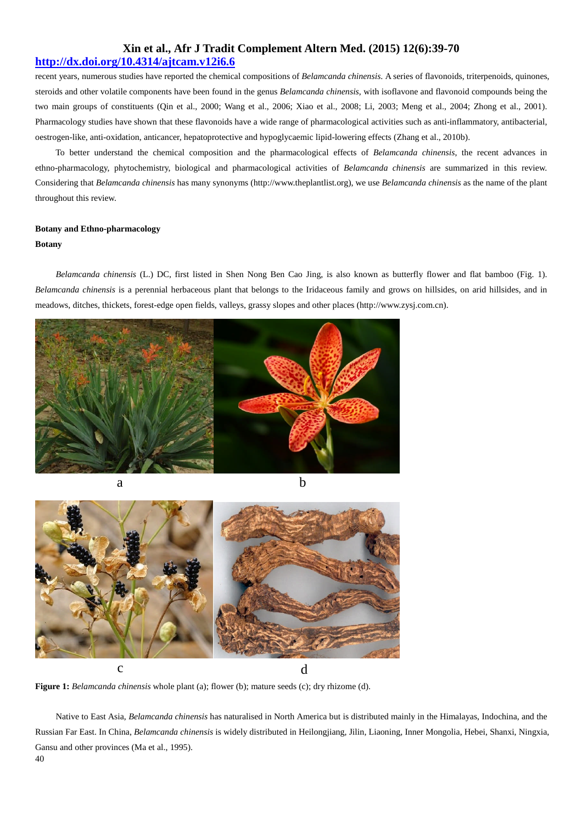recent years, numerous studies have reported the chemical compositions of *Belamcanda chinensis*. A series of flavonoids, triterpenoids, quinones, steroids and other volatile components have been found in the genus *Belamcanda chinensis*, with isoflavone and flavonoid compounds being the two main groups of constituents (Qin et al., 2000; Wang et al., 2006; Xiao et al., 2008; Li, 2003; Meng et al., 2004; Zhong et al., 2001). Pharmacology studies have shown that these flavonoids have a wide range of pharmacological activities such as anti-inflammatory, antibacterial, oestrogen-like, anti-oxidation, anticancer, hepatoprotective and hypoglycaemic lipid-lowering effects (Zhang et al., 2010b).

To better understand the chemical composition and the pharmacological effects of *Belamcanda chinensis*, the recent advances in ethno-pharmacology, phytochemistry, biological and pharmacological activities of *Belamcanda chinensis* are summarized in this review. Considering that *Belamcanda chinensis* has many synonyms (http://www.theplantlist.org), we use *Belamcanda chinensis* as the name of the plant throughout this review.

# **Botany and Ethno-pharmacology**

### **Botany**

*Belamcanda chinensis* (L.) DC, first listed in Shen Nong Ben Cao Jing, is also known as butterfly flower and flat bamboo (Fig. 1). *Belamcanda chinensis* is a perennial herbaceous plant that belongs to the Iridaceous family and grows on hillsides, on arid hillsides, and in meadows, ditches, thickets, forest-edge open fields, valleys, grassy slopes and other places (http://www.zysj.com.cn).





**Figure 1:** *Belamcanda chinensis* whole plant (a); flower (b); mature seeds (c); dry rhizome (d).

Native to East Asia, *Belamcanda chinensis* has naturalised in North America but is distributed mainly in the Himalayas, Indochina, and the Russian Far East. In China, *Belamcanda chinensis* is widely distributed in Heilongjiang, Jilin, Liaoning, Inner Mongolia, Hebei, Shanxi, Ningxia, Gansu and other provinces (Ma et al., 1995).

40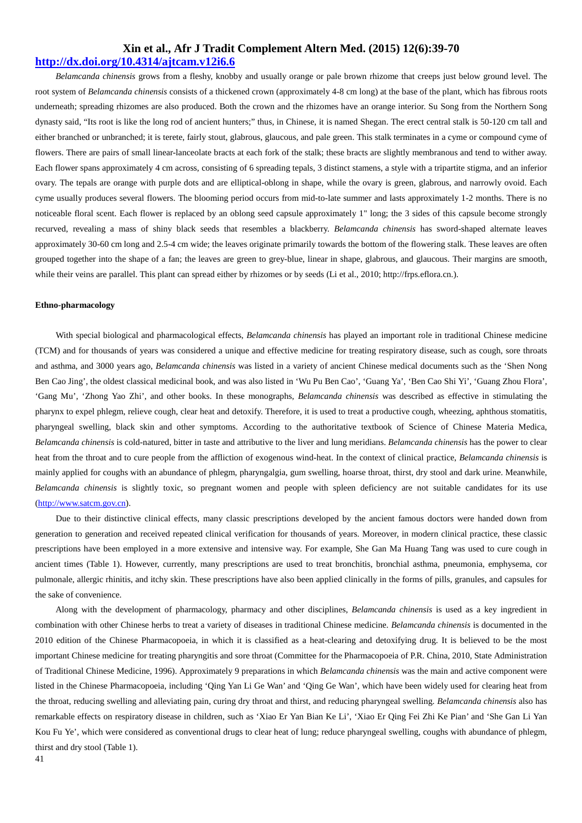*Belamcanda chinensis* grows from a fleshy, knobby and usually orange or pale brown rhizome that creeps just below ground level. The root system of *Belamcanda chinensis* consists of a thickened crown (approximately 4-8 cm long) at the base of the plant, which has fibrous roots underneath; spreading rhizomes are also produced. Both the crown and the rhizomes have an orange interior. Su Song from the Northern Song dynasty said, "Its root is like the long rod of ancient hunters;" thus, in Chinese, it is named Shegan. The erect central stalk is 50-120 cm tall and either branched or unbranched; it is terete, fairly stout, glabrous, glaucous, and pale green. This stalk terminates in a cyme or compound cyme of flowers. There are pairs of small linear-lanceolate bracts at each fork of the stalk; these bracts are slightly membranous and tend to wither away. Each flower spans approximately 4 cm across, consisting of 6 spreading tepals, 3 distinct stamens, a style with a tripartite stigma, and an inferior ovary. The tepals are orange with purple dots and are elliptical-oblong in shape, while the ovary is green, glabrous, and narrowly ovoid. Each cyme usually produces several flowers. The blooming period occurs from mid-to-late summer and lasts approximately 1-2 months. There is no noticeable floral scent. Each flower is replaced by an oblong seed capsule approximately 1" long; the 3 sides of this capsule become strongly recurved, revealing a mass of shiny black seeds that resembles a blackberry. *Belamcanda chinensis* has sword-shaped alternate leaves approximately 30-60 cm long and 2.5-4 cm wide; the leaves originate primarily towards the bottom of the flowering stalk. These leaves are often grouped together into the shape of a fan; the leaves are green to grey-blue, linear in shape, glabrous, and glaucous. Their margins are smooth, while their veins are parallel. This plant can spread either by rhizomes or by seeds (Li et al., 2010; http://frps.eflora.cn.).

### **Ethno-pharmacology**

With special biological and pharmacological effects, *Belamcanda chinensis* has played an important role in traditional Chinese medicine (TCM) and for thousands of years was considered a unique and effective medicine for treating respiratory disease, such as cough, sore throats and asthma, and 3000 years ago, *Belamcanda chinensis* was listed in a variety of ancient Chinese medical documents such as the 'Shen Nong Ben Cao Jing', the oldest classical medicinal book, and was also listed in 'Wu Pu Ben Cao', 'Guang Ya', 'Ben Cao Shi Yi', 'Guang Zhou Flora', 'Gang Mu', 'Zhong Yao Zhi', and other books. In these monographs, *Belamcanda chinensis* was described as effective in stimulating the pharynx to expel phlegm, relieve cough, clear heat and detoxify. Therefore, it is used to treat a productive cough, wheezing, aphthous stomatitis, pharyngeal swelling, black skin and other symptoms. According to the authoritative textbook of Science of Chinese Materia Medica, *Belamcanda chinensis* is cold-natured, bitter in taste and attributive to the liver and lung meridians. *Belamcanda chinensis* has the power to clear heat from the throat and to cure people from the affliction of exogenous wind-heat. In the context of clinical practice, *Belamcanda chinensis* is mainly applied for coughs with an abundance of phlegm, pharyngalgia, gum swelling, hoarse throat, thirst, dry stool and dark urine. Meanwhile, *Belamcanda chinensis* is slightly toxic, so pregnant women and people with spleen deficiency are not suitable candidates for its use (http://www.satcm.gov.cn).

Due to their distinctive clinical effects, many classic prescriptions developed by the ancient famous doctors were handed down from generation to generation and received repeated clinical verification for thousands of years. Moreover, in modern clinical practice, these classic prescriptions have been employed in a more extensive and intensive way. For example, She Gan Ma Huang Tang was used to cure cough in ancient times (Table 1). However, currently, many prescriptions are used to treat bronchitis, bronchial asthma, pneumonia, emphysema, cor pulmonale, allergic rhinitis, and itchy skin. These prescriptions have also been applied clinically in the forms of pills, granules, and capsules for the sake of convenience.

Along with the development of pharmacology, pharmacy and other disciplines, *Belamcanda chinensis* is used as a key ingredient in combination with other Chinese herbs to treat a variety of diseases in traditional Chinese medicine. *Belamcanda chinensis* is documented in the 2010 edition of the Chinese Pharmacopoeia, in which it is classified as a heat-clearing and detoxifying drug. It is believed to be the most important Chinese medicine for treating pharyngitis and sore throat (Committee for the Pharmacopoeia of P.R. China, 2010, State Administration of Traditional Chinese Medicine, 1996). Approximately 9 preparations in which *Belamcanda chinensis* was the main and active component were listed in the Chinese Pharmacopoeia, including 'Qing Yan Li Ge Wan' and 'Qing Ge Wan', which have been widely used for clearing heat from the throat, reducing swelling and alleviating pain, curing dry throat and thirst, and reducing pharyngeal swelling. *Belamcanda chinensis* also has remarkable effects on respiratory disease in children, such as 'Xiao Er Yan Bian Ke Li', 'Xiao Er Qing Fei Zhi Ke Pian' and 'She Gan Li Yan Kou Fu Ye', which were considered as conventional drugs to clear heat of lung; reduce pharyngeal swelling, coughs with abundance of phlegm, thirst and dry stool (Table 1).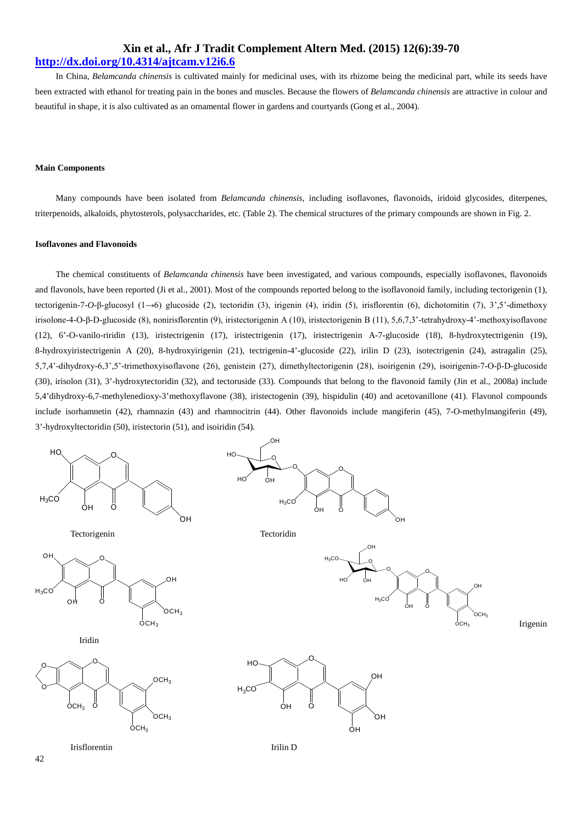## **http://dx.doi.org/10.4314/ajtcam.v12i6.6**

In China, *Belamcanda chinensis* is cultivated mainly for medicinal uses, with its rhizome being the medicinal part, while its seeds have been extracted with ethanol for treating pain in the bones and muscles. Because the flowers of *Belamcanda chinensis* are attractive in colour and beautiful in shape, it is also cultivated as an ornamental flower in gardens and courtyards (Gong et al., 2004).

### **Main Components**

Many compounds have been isolated from *Belamcanda chinensis*, including isoflavones, flavonoids, iridoid glycosides, diterpenes, triterpenoids, alkaloids, phytosterols, polysaccharides, etc. (Table 2). The chemical structures of the primary compounds are shown in Fig. 2.

### **Isoflavones and Flavonoids**

The chemical constituents of *Belamcanda chinensis* have been investigated, and various compounds, especially isoflavones, flavonoids and flavonols, have been reported (Ji et al., 2001). Most of the compounds reported belong to the isoflavonoid family, including tectorigenin (1), tectorigenin-7-*O*-β-glucosyl (1→6) glucoside (2), tectoridin (3), irigenin (4), iridin (5), irisflorentin (6), dichotomitin (7), 3',5'-dimethoxy irisolone-4-O-β-D-glucoside (8), nonirisflorentin (9), iristectorigenin A (10), iristectorigenin B (11), 5,6,7,3'-tetrahydroxy-4'-methoxyisoflavone (12), 6'-O-vanilo-riridin (13), iristectrigenin (17), iristectrigenin (17), iristectrigenin A-7-glucoside (18), 8-hydroxytectrigenin (19), 8-hydroxyiristectrigenin A (20), 8-hydroxyirigenin (21), tectrigenin-4'-glucoside (22), irilin D (23), isotectrigenin (24), astragalin (25), 5,7,4'-dihydroxy-6,3',5'-trimethoxyisoflavone (26), genistein (27), dimethyltectorigenin (28), isoirigenin (29), isoirigenin-7-O-β-D-glucoside (30), irisolon (31), 3'-hydroxytectoridin (32), and tectoruside (33). Compounds that belong to the flavonoid family (Jin et al., 2008a) include 5,4'dihydroxy-6,7-methylenedioxy-3'methoxyflavone (38), iristectogenin (39), hispidulin (40) and acetovanillone (41). Flavonol compounds include isorhamnetin (42), rhamnazin (43) and rhamnocitrin (44). Other flavonoids include mangiferin (45), 7-O-methylmangiferin (49), 3'-hydroxyltectoridin (50), iristectorin (51), and isoiridin (54).



Tectorigenin Tectoridin











Irigenin



Irisflorentin Irilin D

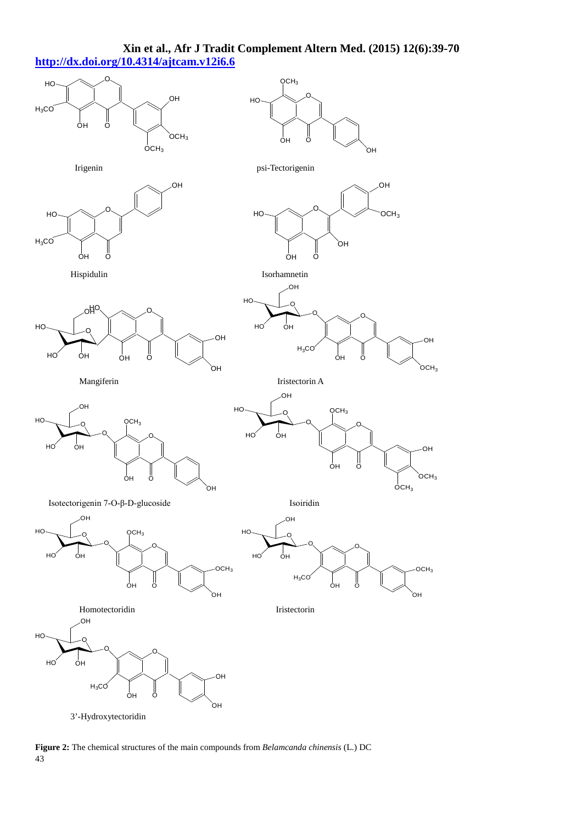

43 **Figure 2:** The chemical structures of the main compounds from *Belamcanda chinensis* (L.) DC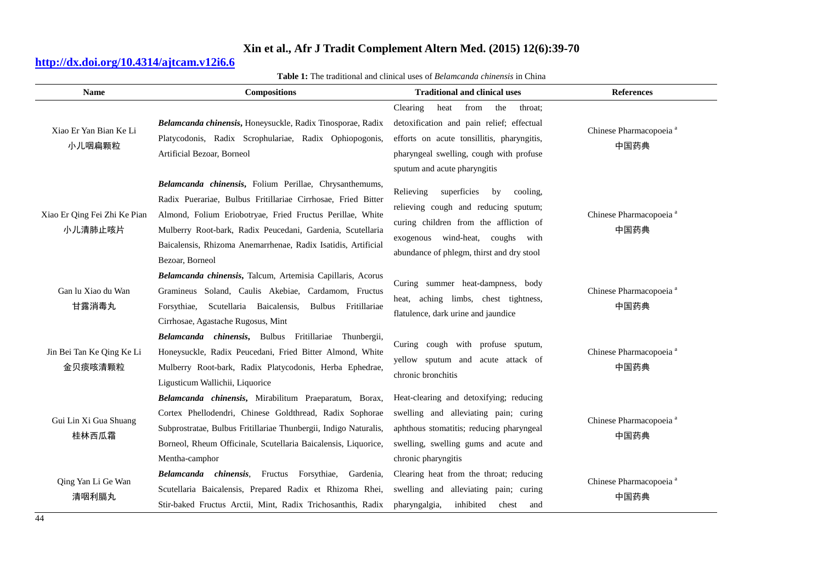## **http://dx.doi.org/10.4314/ajtcam.v12i6.6**

### **Table 1:** The traditional and clinical uses of *Belamcanda chinensis* in China

| <b>Name</b>                             | <b>Compositions</b>                                                                                                                                                                                                                                                                                                                   | <b>Traditional and clinical uses</b>                                                                                                                                                                             | <b>References</b>                          |
|-----------------------------------------|---------------------------------------------------------------------------------------------------------------------------------------------------------------------------------------------------------------------------------------------------------------------------------------------------------------------------------------|------------------------------------------------------------------------------------------------------------------------------------------------------------------------------------------------------------------|--------------------------------------------|
| Xiao Er Yan Bian Ke Li<br>小儿咽扁颗粒        | Belamcanda chinensis, Honeysuckle, Radix Tinosporae, Radix<br>Platycodonis, Radix Scrophulariae, Radix Ophiopogonis,<br>Artificial Bezoar, Borneol                                                                                                                                                                                    | heat<br>from<br>Clearing<br>the<br>throat:<br>detoxification and pain relief; effectual<br>efforts on acute tonsillitis, pharyngitis,<br>pharyngeal swelling, cough with profuse<br>sputum and acute pharyngitis | Chinese Pharmacopoeia <sup>a</sup><br>中国药典 |
| Xiao Er Qing Fei Zhi Ke Pian<br>小儿清肺止咳片 | Belamcanda chinensis, Folium Perillae, Chrysanthemums,<br>Radix Puerariae, Bulbus Fritillariae Cirrhosae, Fried Bitter<br>Almond, Folium Eriobotryae, Fried Fructus Perillae, White<br>Mulberry Root-bark, Radix Peucedani, Gardenia, Scutellaria<br>Baicalensis, Rhizoma Anemarrhenae, Radix Isatidis, Artificial<br>Bezoar, Borneol | superficies<br>Relieving<br>by<br>cooling.<br>relieving cough and reducing sputum;<br>curing children from the affliction of<br>exogenous wind-heat, coughs with<br>abundance of phlegm, thirst and dry stool    | Chinese Pharmacopoeia <sup>a</sup><br>中国药典 |
| Gan lu Xiao du Wan<br>甘露消毒丸             | Belamcanda chinensis, Talcum, Artemisia Capillaris, Acorus<br>Gramineus Soland, Caulis Akebiae, Cardamom, Fructus<br>Forsythiae,<br>Scutellaria Baicalensis,<br><b>Bulbus</b><br>Fritillariae<br>Cirrhosae, Agastache Rugosus, Mint                                                                                                   | Curing summer heat-dampness, body<br>heat, aching limbs, chest tightness,<br>flatulence, dark urine and jaundice                                                                                                 | Chinese Pharmacopoeia <sup>a</sup><br>中国药典 |
| Jin Bei Tan Ke Qing Ke Li<br>金贝痰咳清颗粒    | Belamcanda chinensis, Bulbus Fritillariae Thunbergii,<br>Honeysuckle, Radix Peucedani, Fried Bitter Almond, White<br>Mulberry Root-bark, Radix Platycodonis, Herba Ephedrae,<br>Ligusticum Wallichii, Liquorice                                                                                                                       | Curing cough with profuse sputum,<br>yellow sputum and acute attack of<br>chronic bronchitis                                                                                                                     | Chinese Pharmacopoeia <sup>a</sup><br>中国药典 |
| Gui Lin Xi Gua Shuang<br>桂林西瓜霜          | Belamcanda chinensis, Mirabilitum Praeparatum, Borax,<br>Cortex Phellodendri, Chinese Goldthread, Radix Sophorae<br>Subprostratae, Bulbus Fritillariae Thunbergii, Indigo Naturalis,<br>Borneol, Rheum Officinale, Scutellaria Baicalensis, Liquorice,<br>Mentha-camphor                                                              | Heat-clearing and detoxifying; reducing<br>swelling and alleviating pain; curing<br>aphthous stomatitis; reducing pharyngeal<br>swelling, swelling gums and acute and<br>chronic pharyngitis                     | Chinese Pharmacopoeia <sup>a</sup><br>中国药典 |
| Qing Yan Li Ge Wan<br>清咽利膈丸             | Belamcanda chinensis, Fructus Forsythiae,<br>Gardenia,<br>Scutellaria Baicalensis, Prepared Radix et Rhizoma Rhei,<br>Stir-baked Fructus Arctii, Mint, Radix Trichosanthis, Radix                                                                                                                                                     | Clearing heat from the throat; reducing<br>swelling and alleviating pain; curing<br>pharyngalgia,<br>inhibited<br>chest<br>and                                                                                   | Chinese Pharmacopoeia <sup>a</sup><br>中国药典 |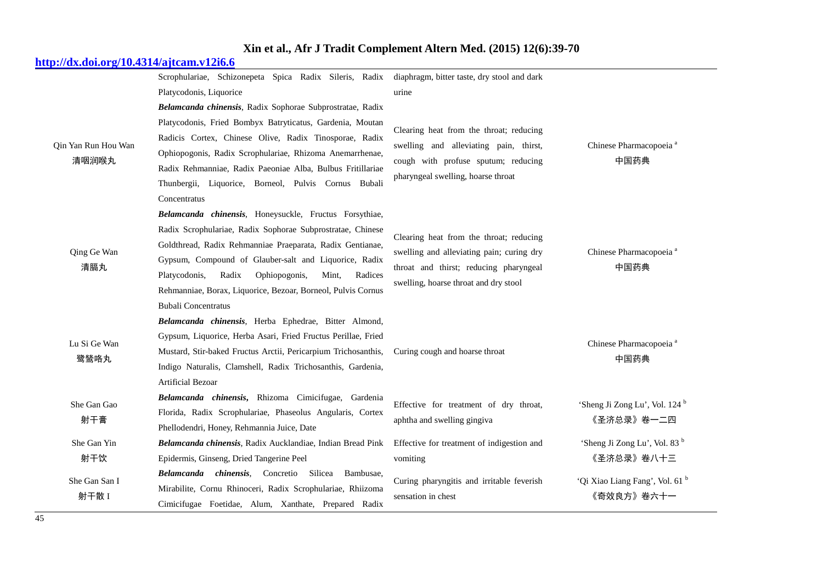|                              | Scrophulariae, Schizonepeta Spica Radix Sileris, Radix                                                                                                                                                                                                                                                                                                                                                  | diaphragm, bitter taste, dry stool and dark                                                                                                                             |                                                          |
|------------------------------|---------------------------------------------------------------------------------------------------------------------------------------------------------------------------------------------------------------------------------------------------------------------------------------------------------------------------------------------------------------------------------------------------------|-------------------------------------------------------------------------------------------------------------------------------------------------------------------------|----------------------------------------------------------|
|                              | Platycodonis, Liquorice                                                                                                                                                                                                                                                                                                                                                                                 | urine                                                                                                                                                                   |                                                          |
|                              | Belamcanda chinensis, Radix Sophorae Subprostratae, Radix                                                                                                                                                                                                                                                                                                                                               |                                                                                                                                                                         |                                                          |
| Qin Yan Run Hou Wan<br>清咽润喉丸 | Platycodonis, Fried Bombyx Batryticatus, Gardenia, Moutan<br>Radicis Cortex, Chinese Olive, Radix Tinosporae, Radix<br>Ophiopogonis, Radix Scrophulariae, Rhizoma Anemarrhenae,<br>Radix Rehmanniae, Radix Paeoniae Alba, Bulbus Fritillariae<br>Thunbergii, Liquorice, Borneol, Pulvis Cornus Bubali                                                                                                   | Clearing heat from the throat; reducing<br>swelling and alleviating pain, thirst,<br>cough with profuse sputum; reducing<br>pharyngeal swelling, hoarse throat          | Chinese Pharmacopoeia <sup>a</sup><br>中国药典               |
|                              | Concentratus                                                                                                                                                                                                                                                                                                                                                                                            |                                                                                                                                                                         |                                                          |
| Qing Ge Wan<br>清膈丸           | Belamcanda chinensis, Honeysuckle, Fructus Forsythiae,<br>Radix Scrophulariae, Radix Sophorae Subprostratae, Chinese<br>Goldthread, Radix Rehmanniae Praeparata, Radix Gentianae,<br>Gypsum, Compound of Glauber-salt and Liquorice, Radix<br>Platycodonis,<br>Radix<br>Ophiopogonis,<br>Mint,<br>Radices<br>Rehmanniae, Borax, Liquorice, Bezoar, Borneol, Pulvis Cornus<br><b>Bubali Concentratus</b> | Clearing heat from the throat; reducing<br>swelling and alleviating pain; curing dry<br>throat and thirst; reducing pharyngeal<br>swelling, hoarse throat and dry stool | Chinese Pharmacopoeia <sup>a</sup><br>中国药典               |
| Lu Si Ge Wan<br>鹭鸶咯丸         | Belamcanda chinensis, Herba Ephedrae, Bitter Almond,<br>Gypsum, Liquorice, Herba Asari, Fried Fructus Perillae, Fried<br>Mustard, Stir-baked Fructus Arctii, Pericarpium Trichosanthis,<br>Indigo Naturalis, Clamshell, Radix Trichosanthis, Gardenia,                                                                                                                                                  | Curing cough and hoarse throat                                                                                                                                          | Chinese Pharmacopoeia <sup>a</sup><br>中国药典               |
| She Gan Gao<br>射干膏           | <b>Artificial Bezoar</b><br>Belamcanda chinensis, Rhizoma Cimicifugae, Gardenia<br>Florida, Radix Scrophulariae, Phaseolus Angularis, Cortex<br>Phellodendri, Honey, Rehmannia Juice, Date                                                                                                                                                                                                              | Effective for treatment of dry throat,<br>aphtha and swelling gingiva                                                                                                   | 'Sheng Ji Zong Lu', Vol. 124 <sup>b</sup><br>《圣济总录》卷一二四  |
| She Gan Yin                  | Belamcanda chinensis, Radix Aucklandiae, Indian Bread Pink                                                                                                                                                                                                                                                                                                                                              | Effective for treatment of indigestion and                                                                                                                              | 'Sheng Ji Zong Lu', Vol. 83 <sup>b</sup>                 |
| 射干饮                          | Epidermis, Ginseng, Dried Tangerine Peel                                                                                                                                                                                                                                                                                                                                                                | vomiting                                                                                                                                                                | 《圣济总录》卷八十三                                               |
| She Gan San I<br>射干散I        | Belamcanda chinensis, Concretio Silicea<br>Bambusae.<br>Mirabilite, Cornu Rhinoceri, Radix Scrophulariae, Rhiizoma<br>Cimicifugae Foetidae, Alum, Xanthate, Prepared Radix                                                                                                                                                                                                                              | Curing pharyngitis and irritable feverish<br>sensation in chest                                                                                                         | 'Qi Xiao Liang Fang', Vol. 61 <sup>b</sup><br>《奇效良方》卷六十一 |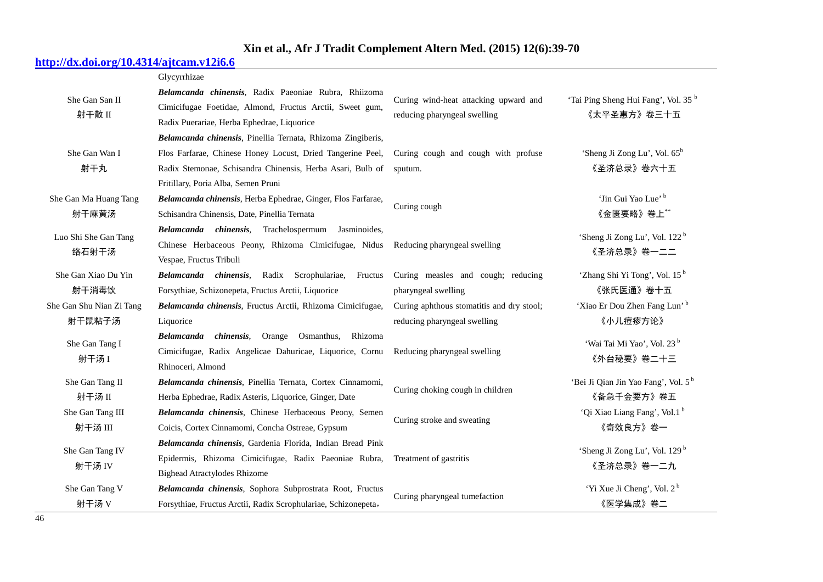|                               | Glycyrrhizae                                                                      |                                                                       |                                                 |  |
|-------------------------------|-----------------------------------------------------------------------------------|-----------------------------------------------------------------------|-------------------------------------------------|--|
| She Gan San II                | Belamcanda chinensis, Radix Paeoniae Rubra, Rhiizoma                              |                                                                       | 'Tai Ping Sheng Hui Fang', Vol. 35 <sup>b</sup> |  |
| 射干散 II                        | Cimicifugae Foetidae, Almond, Fructus Arctii, Sweet gum,                          | Curing wind-heat attacking upward and<br>reducing pharyngeal swelling | 《太平圣惠方》卷三十五                                     |  |
|                               | Radix Puerariae, Herba Ephedrae, Liquorice                                        |                                                                       |                                                 |  |
|                               | Belamcanda chinensis, Pinellia Ternata, Rhizoma Zingiberis,                       |                                                                       |                                                 |  |
| She Gan Wan I                 | Flos Farfarae, Chinese Honey Locust, Dried Tangerine Peel,                        | Curing cough and cough with profuse                                   | 'Sheng Ji Zong Lu', Vol. 65 <sup>b</sup>        |  |
| 射干丸                           | Radix Stemonae, Schisandra Chinensis, Herba Asari, Bulb of                        | sputum.                                                               | 《圣济总录》卷六十五                                      |  |
|                               | Fritillary, Poria Alba, Semen Pruni                                               |                                                                       |                                                 |  |
| She Gan Ma Huang Tang         | Belamcanda chinensis, Herba Ephedrae, Ginger, Flos Farfarae,                      |                                                                       | 'Jin Gui Yao Lue' b                             |  |
| 射干麻黄汤                         | Schisandra Chinensis, Date, Pinellia Ternata                                      | Curing cough                                                          | 《金匮要略》卷上**                                      |  |
|                               | Belamcanda chinensis, Trachelospermum<br>Jasminoides,                             |                                                                       | 'Sheng Ji Zong Lu', Vol. 122 <sup>b</sup>       |  |
| Luo Shi She Gan Tang<br>络石射干汤 | Chinese Herbaceous Peony, Rhizoma Cimicifugae, Nidus Reducing pharyngeal swelling |                                                                       | 《圣济总录》卷一二二                                      |  |
|                               | Vespae, Fructus Tribuli                                                           |                                                                       |                                                 |  |
| She Gan Xiao Du Yin           | Belamcanda chinensis, Radix Scrophulariae,<br>Fructus                             | Curing measles and cough; reducing                                    | 'Zhang Shi Yi Tong', Vol. 15 <sup>b</sup>       |  |
| 射干消毒饮                         | Forsythiae, Schizonepeta, Fructus Arctii, Liquorice                               | pharyngeal swelling                                                   | 《张氏医通》卷十五                                       |  |
| She Gan Shu Nian Zi Tang      | Belamcanda chinensis, Fructus Arctii, Rhizoma Cimicifugae,                        | Curing aphthous stomatitis and dry stool;                             | 'Xiao Er Dou Zhen Fang Lun' <sup>b</sup>        |  |
| 射干鼠粘子汤                        | Liquorice                                                                         | reducing pharyngeal swelling                                          | 《小儿痘疹方论》                                        |  |
|                               | chinensis.<br>Orange Osmanthus,<br>Rhizoma<br>Belamcanda                          |                                                                       | 'Wai Tai Mi Yao', Vol. 23 <sup>b</sup>          |  |
| She Gan Tang I<br>射干汤I        | Cimicifugae, Radix Angelicae Dahuricae, Liquorice, Cornu                          | Reducing pharyngeal swelling                                          | 《外台秘要》卷二十三                                      |  |
|                               | Rhinoceri, Almond                                                                 |                                                                       |                                                 |  |
| She Gan Tang II               | Belamcanda chinensis, Pinellia Ternata, Cortex Cinnamomi,                         |                                                                       | 'Bei Ji Qian Jin Yao Fang', Vol. 5 <sup>b</sup> |  |
| 射干汤II                         | Herba Ephedrae, Radix Asteris, Liquorice, Ginger, Date                            | Curing choking cough in children                                      | 《备急千金要方》卷五                                      |  |
| She Gan Tang III              | Belamcanda chinensis, Chinese Herbaceous Peony, Semen                             |                                                                       | 'Qi Xiao Liang Fang', Vol.1 <sup>b</sup>        |  |
| 射干汤 III                       | Coicis, Cortex Cinnamomi, Concha Ostreae, Gypsum                                  | Curing stroke and sweating                                            | 《奇效良方》卷一                                        |  |
| She Gan Tang IV               | Belamcanda chinensis, Gardenia Florida, Indian Bread Pink                         |                                                                       | 'Sheng Ji Zong Lu', Vol. 129 <sup>b</sup>       |  |
| 射干汤 IV                        | Epidermis, Rhizoma Cimicifugae, Radix Paeoniae Rubra,                             | Treatment of gastritis                                                | 《圣济总录》卷一二九                                      |  |
|                               | <b>Bighead Atractylodes Rhizome</b>                                               |                                                                       |                                                 |  |
| She Gan Tang V                | Belamcanda chinensis, Sophora Subprostrata Root, Fructus                          | Curing pharyngeal tumefaction                                         | 'Yi Xue Ji Cheng', Vol. 2 <sup>b</sup>          |  |
| 射干汤V                          | Forsythiae, Fructus Arctii, Radix Scrophulariae, Schizonepeta,                    |                                                                       | 《医学集成》卷二                                        |  |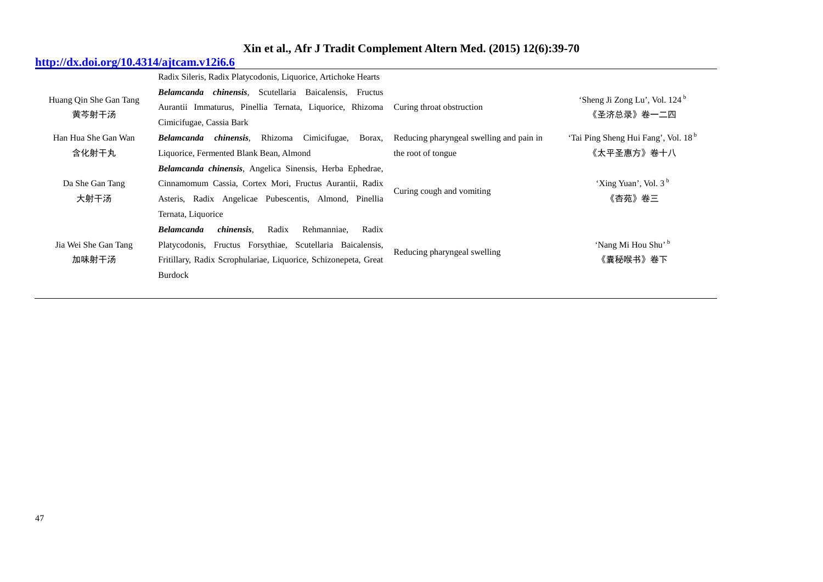|                                 | Radix Sileris, Radix Platycodonis, Liquorice, Artichoke Hearts                                                                                                                                                      |                                                                |                                                               |
|---------------------------------|---------------------------------------------------------------------------------------------------------------------------------------------------------------------------------------------------------------------|----------------------------------------------------------------|---------------------------------------------------------------|
| Huang Qin She Gan Tang<br>黄芩射干汤 | <b>Belamcanda chinensis.</b> Scutellaria Baicalensis, Fructus<br>Aurantii Immaturus, Pinellia Ternata, Liquorice, Rhizoma Curing throat obstruction<br>Cimicifugae, Cassia Bark                                     |                                                                | 'Sheng Ji Zong Lu', Vol. 124 <sup>b</sup><br>《圣济总录》卷一二四       |
| Han Hua She Gan Wan<br>含化射干丸    | Cimicifugae,<br>Borax,<br><b>Belamcanda chinensis</b> , Rhizoma<br>Liquorice, Fermented Blank Bean, Almond<br><b>Belamcanda chinensis</b> , Angelica Sinensis, Herba Ephedrae,                                      | Reducing pharyngeal swelling and pain in<br>the root of tongue | 'Tai Ping Sheng Hui Fang', Vol. 18 <sup>b</sup><br>《太平圣惠方》卷十八 |
| Da She Gan Tang<br>大射干汤         | Cinnamomum Cassia, Cortex Mori, Fructus Aurantii, Radix<br>Asteris, Radix Angelicae Pubescentis, Almond, Pinellia<br>Ternata, Liquorice                                                                             | Curing cough and vomiting                                      | 'Xing Yuan', Vol. 3 <sup>b</sup><br>《杏苑》卷三                    |
| Jia Wei She Gan Tang<br>加味射干汤   | Radix<br>Belamcanda<br><i>chinensis.</i><br>Rehmanniae.<br>Radix<br>Platycodonis, Fructus Forsythiae, Scutellaria Baicalensis,<br>Fritillary, Radix Scrophulariae, Liquorice, Schizonepeta, Great<br><b>Burdock</b> | Reducing pharyngeal swelling                                   | 'Nang Mi Hou Shu' b<br>《囊秘喉书》卷下                               |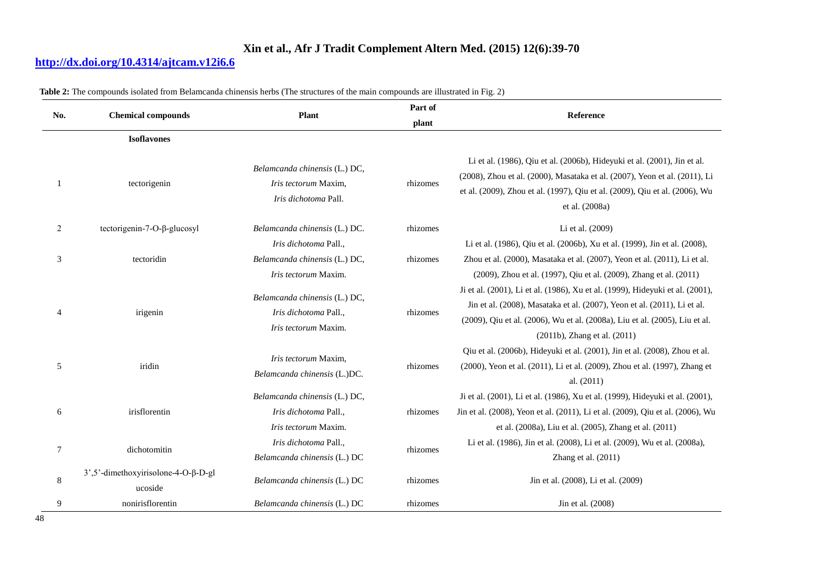## **http://dx.doi.org/10.4314/ajtcam.v12i6.6**

| No.                      | <b>Chemical compounds</b>                      | Plant                                                                                 | Part of  | Reference                                                                                                                                                                                                                                                                     |
|--------------------------|------------------------------------------------|---------------------------------------------------------------------------------------|----------|-------------------------------------------------------------------------------------------------------------------------------------------------------------------------------------------------------------------------------------------------------------------------------|
|                          | <b>Isoflavones</b>                             |                                                                                       | plant    |                                                                                                                                                                                                                                                                               |
|                          | tectorigenin                                   | Belamcanda chinensis (L.) DC,<br>Iris tectorum Maxim,<br>Iris dichotoma Pall.         | rhizomes | Li et al. (1986), Qiu et al. (2006b), Hideyuki et al. (2001), Jin et al.<br>(2008), Zhou et al. (2000), Masataka et al. (2007), Yeon et al. (2011), Li<br>et al. (2009), Zhou et al. (1997), Qiu et al. (2009), Qiu et al. (2006), Wu<br>et al. (2008a)                       |
| 2                        | tectorigenin-7-O- $\beta$ -glucosyl            | Belamcanda chinensis (L.) DC.                                                         | rhizomes | Li et al. (2009)                                                                                                                                                                                                                                                              |
| 3                        | tectoridin                                     | Iris dichotoma Pall.,<br>Belamcanda chinensis (L.) DC,<br>Iris tectorum Maxim.        | rhizomes | Li et al. (1986), Qiu et al. (2006b), Xu et al. (1999), Jin et al. (2008),<br>Zhou et al. (2000), Masataka et al. (2007), Yeon et al. (2011), Li et al.<br>(2009), Zhou et al. (1997), Qiu et al. (2009), Zhang et al. (2011)                                                 |
| $\overline{\mathcal{A}}$ | irigenin                                       | Belamcanda chinensis (L.) DC,<br>Iris dichotoma Pall.,<br>Iris tectorum Maxim.        | rhizomes | Ji et al. (2001), Li et al. (1986), Xu et al. (1999), Hideyuki et al. (2001),<br>Jin et al. (2008), Masataka et al. (2007), Yeon et al. (2011), Li et al.<br>(2009), Qiu et al. (2006), Wu et al. (2008a), Liu et al. (2005), Liu et al.<br>$(2011b)$ , Zhang et al. $(2011)$ |
| 5                        | iridin                                         | Iris tectorum Maxim,<br>Belamcanda chinensis (L.)DC.                                  | rhizomes | Qiu et al. (2006b), Hideyuki et al. (2001), Jin et al. (2008), Zhou et al.<br>(2000), Yeon et al. (2011), Li et al. (2009), Zhou et al. (1997), Zhang et<br>al. $(2011)$                                                                                                      |
| 6                        | irisflorentin                                  | Belamcanda chinensis (L.) DC,<br>Iris dichotoma Pall.,<br><i>Iris tectorum</i> Maxim. | rhizomes | Ji et al. (2001), Li et al. (1986), Xu et al. (1999), Hideyuki et al. (2001),<br>Jin et al. (2008), Yeon et al. (2011), Li et al. (2009), Qiu et al. (2006), Wu<br>et al. (2008a), Liu et al. (2005), Zhang et al. (2011)                                                     |
| 7                        | dichotomitin                                   | Iris dichotoma Pall.,<br>Belamcanda chinensis (L.) DC                                 | rhizomes | Li et al. (1986), Jin et al. (2008), Li et al. (2009), Wu et al. (2008a),<br>Zhang et al. (2011)                                                                                                                                                                              |
| 8                        | 3',5'-dimethoxyirisolone-4-O-β-D-gl<br>ucoside | Belamcanda chinensis (L.) DC                                                          | rhizomes | Jin et al. (2008), Li et al. (2009)                                                                                                                                                                                                                                           |
| 9                        | nonirisflorentin                               | Belamcanda chinensis (L.) DC                                                          | rhizomes | Jin et al. (2008)                                                                                                                                                                                                                                                             |

### Table 2: The compounds isolated from Belamcanda chinensis herbs (The structures of the main compounds are illustrated in Fig. 2)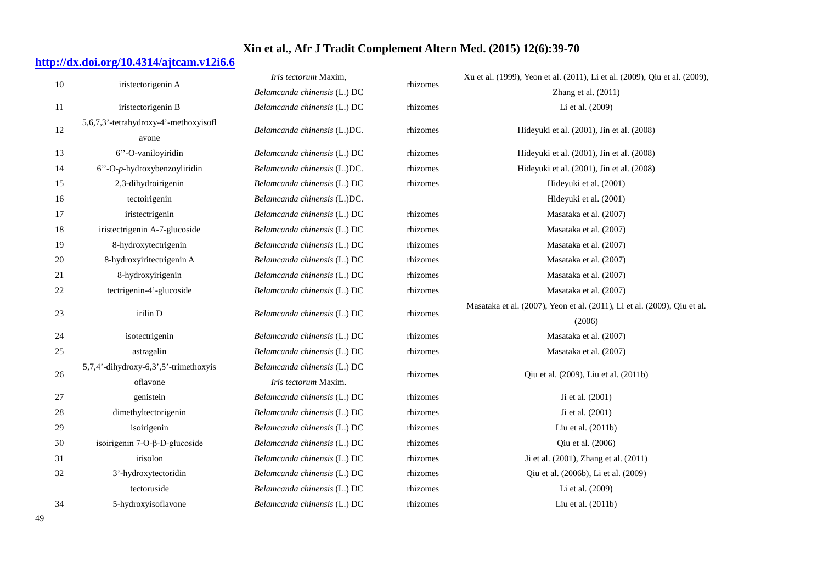| 10     | iristectorigenin A                             | Iris tectorum Maxim,         | rhizomes | Xu et al. (1999), Yeon et al. (2011), Li et al. (2009), Qiu et al. (2009),         |
|--------|------------------------------------------------|------------------------------|----------|------------------------------------------------------------------------------------|
|        |                                                | Belamcanda chinensis (L.) DC |          | Zhang et al. (2011)                                                                |
| 11     | iristectorigenin B                             | Belamcanda chinensis (L.) DC | rhizomes | Li et al. (2009)                                                                   |
| 12     | 5,6,7,3'-tetrahydroxy-4'-methoxyisofl<br>avone | Belamcanda chinensis (L.)DC. | rhizomes | Hideyuki et al. (2001), Jin et al. (2008)                                          |
| 13     | 6"-O-vaniloyiridin                             | Belamcanda chinensis (L.) DC | rhizomes | Hideyuki et al. (2001), Jin et al. (2008)                                          |
| 14     | 6"-O-p-hydroxybenzoyliridin                    | Belamcanda chinensis (L.)DC. | rhizomes | Hideyuki et al. (2001), Jin et al. (2008)                                          |
| 15     | 2,3-dihydroirigenin                            | Belamcanda chinensis (L.) DC | rhizomes | Hideyuki et al. (2001)                                                             |
| 16     | tectoirigenin                                  | Belamcanda chinensis (L.)DC. |          | Hideyuki et al. (2001)                                                             |
| 17     | iristectrigenin                                | Belamcanda chinensis (L.) DC | rhizomes | Masataka et al. (2007)                                                             |
| 18     | iristectrigenin A-7-glucoside                  | Belamcanda chinensis (L.) DC | rhizomes | Masataka et al. (2007)                                                             |
| 19     | 8-hydroxytectrigenin                           | Belamcanda chinensis (L.) DC | rhizomes | Masataka et al. (2007)                                                             |
| 20     | 8-hydroxyiritectrigenin A                      | Belamcanda chinensis (L.) DC | rhizomes | Masataka et al. (2007)                                                             |
| 21     | 8-hydroxyirigenin                              | Belamcanda chinensis (L.) DC | rhizomes | Masataka et al. (2007)                                                             |
| 22     | tectrigenin-4'-glucoside                       | Belamcanda chinensis (L.) DC | rhizomes | Masataka et al. (2007)                                                             |
| 23     | irilin D                                       | Belamcanda chinensis (L.) DC | rhizomes | Masataka et al. (2007), Yeon et al. (2011), Li et al. (2009), Qiu et al.<br>(2006) |
| 24     | isotectrigenin                                 | Belamcanda chinensis (L.) DC | rhizomes | Masataka et al. (2007)                                                             |
| $25\,$ | astragalin                                     | Belamcanda chinensis (L.) DC | rhizomes | Masataka et al. (2007)                                                             |
|        | 5,7,4'-dihydroxy-6,3',5'-trimethoxyis          | Belamcanda chinensis (L.) DC |          |                                                                                    |
| 26     | oflavone                                       | Iris tectorum Maxim.         | rhizomes | Qiu et al. (2009), Liu et al. (2011b)                                              |
| 27     | genistein                                      | Belamcanda chinensis (L.) DC | rhizomes | Ji et al. (2001)                                                                   |
| 28     | dimethyltectorigenin                           | Belamcanda chinensis (L.) DC | rhizomes | Ji et al. (2001)                                                                   |
| 29     | isoirigenin                                    | Belamcanda chinensis (L.) DC | rhizomes | Liu et al. (2011b)                                                                 |
| 30     | isoirigenin $7$ -O- $\beta$ -D-glucoside       | Belamcanda chinensis (L.) DC | rhizomes | Qiu et al. (2006)                                                                  |
| 31     | irisolon                                       | Belamcanda chinensis (L.) DC | rhizomes | Ji et al. (2001), Zhang et al. (2011)                                              |
| 32     | 3'-hydroxytectoridin                           | Belamcanda chinensis (L.) DC | rhizomes | Qiu et al. (2006b), Li et al. (2009)                                               |
|        | tectoruside                                    | Belamcanda chinensis (L.) DC | rhizomes | Li et al. (2009)                                                                   |
| 34     | 5-hydroxyisoflavone                            | Belamcanda chinensis (L.) DC | rhizomes | Liu et al. (2011b)                                                                 |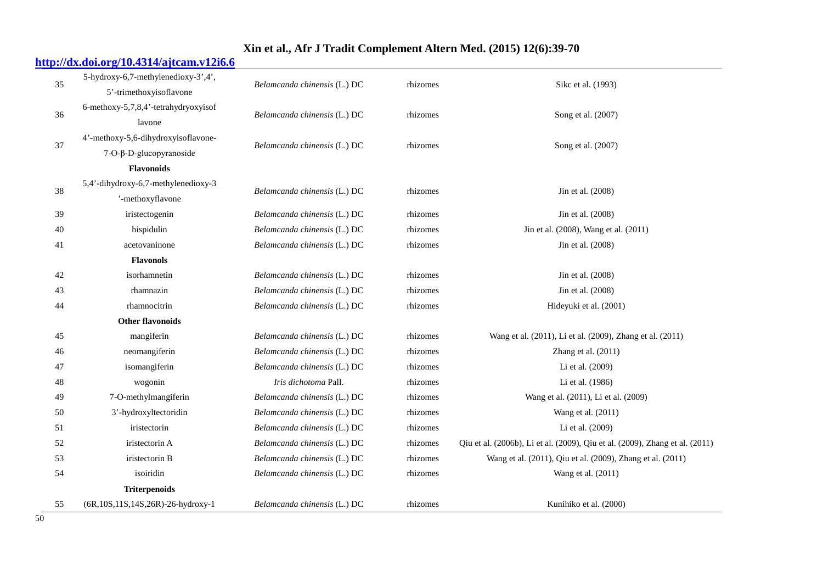|    | http://dx.doi.org/10.4314/ajtcam.v12i6.6 |                              |          |                                                                              |
|----|------------------------------------------|------------------------------|----------|------------------------------------------------------------------------------|
| 35 | 5-hydroxy-6,7-methylenedioxy-3',4',      | Belamcanda chinensis (L.) DC | rhizomes | Sikc et al. (1993)                                                           |
|    | 5'-trimethoxyisoflavone                  |                              |          |                                                                              |
| 36 | 6-methoxy-5,7,8,4'-tetrahydryoxyisof     | Belamcanda chinensis (L.) DC | rhizomes | Song et al. (2007)                                                           |
|    | lavone                                   |                              |          |                                                                              |
| 37 | 4'-methoxy-5,6-dihydroxyisoflavone-      | Belamcanda chinensis (L.) DC | rhizomes | Song et al. (2007)                                                           |
|    | 7-O-β-D-glucopyranoside                  |                              |          |                                                                              |
|    | <b>Flavonoids</b>                        |                              |          |                                                                              |
| 38 | 5,4'-dihydroxy-6,7-methylenedioxy-3      | Belamcanda chinensis (L.) DC | rhizomes | Jin et al. (2008)                                                            |
|    | '-methoxyflavone                         |                              |          |                                                                              |
| 39 | iristectogenin                           | Belamcanda chinensis (L.) DC | rhizomes | Jin et al. (2008)                                                            |
| 40 | hispidulin                               | Belamcanda chinensis (L.) DC | rhizomes | Jin et al. (2008), Wang et al. (2011)                                        |
| 41 | acetovaninone                            | Belamcanda chinensis (L.) DC | rhizomes | Jin et al. (2008)                                                            |
|    | <b>Flavonols</b>                         |                              |          |                                                                              |
| 42 | isorhamnetin                             | Belamcanda chinensis (L.) DC | rhizomes | Jin et al. (2008)                                                            |
| 43 | rhamnazin                                | Belamcanda chinensis (L.) DC | rhizomes | Jin et al. (2008)                                                            |
| 44 | rhamnocitrin                             | Belamcanda chinensis (L.) DC | rhizomes | Hideyuki et al. (2001)                                                       |
|    | <b>Other flavonoids</b>                  |                              |          |                                                                              |
| 45 | mangiferin                               | Belamcanda chinensis (L.) DC | rhizomes | Wang et al. (2011), Li et al. (2009), Zhang et al. (2011)                    |
| 46 | neomangiferin                            | Belamcanda chinensis (L.) DC | rhizomes | Zhang et al. (2011)                                                          |
| 47 | isomangiferin                            | Belamcanda chinensis (L.) DC | rhizomes | Li et al. (2009)                                                             |
| 48 | wogonin                                  | Iris dichotoma Pall.         | rhizomes | Li et al. (1986)                                                             |
| 49 | 7-O-methylmangiferin                     | Belamcanda chinensis (L.) DC | rhizomes | Wang et al. (2011), Li et al. (2009)                                         |
| 50 | 3'-hydroxyltectoridin                    | Belamcanda chinensis (L.) DC | rhizomes | Wang et al. (2011)                                                           |
| 51 | iristectorin                             | Belamcanda chinensis (L.) DC | rhizomes | Li et al. (2009)                                                             |
| 52 | iristectorin A                           | Belamcanda chinensis (L.) DC | rhizomes | Qiu et al. (2006b), Li et al. (2009), Qiu et al. (2009), Zhang et al. (2011) |
| 53 | iristectorin B                           | Belamcanda chinensis (L.) DC | rhizomes | Wang et al. (2011), Qiu et al. (2009), Zhang et al. (2011)                   |
| 54 | isoiridin                                | Belamcanda chinensis (L.) DC | rhizomes | Wang et al. (2011)                                                           |
|    | <b>Triterpenoids</b>                     |                              |          |                                                                              |
| 55 | (6R, 10S, 11S, 14S, 26R)-26-hydroxy-1    | Belamcanda chinensis (L.) DC | rhizomes | Kunihiko et al. (2000)                                                       |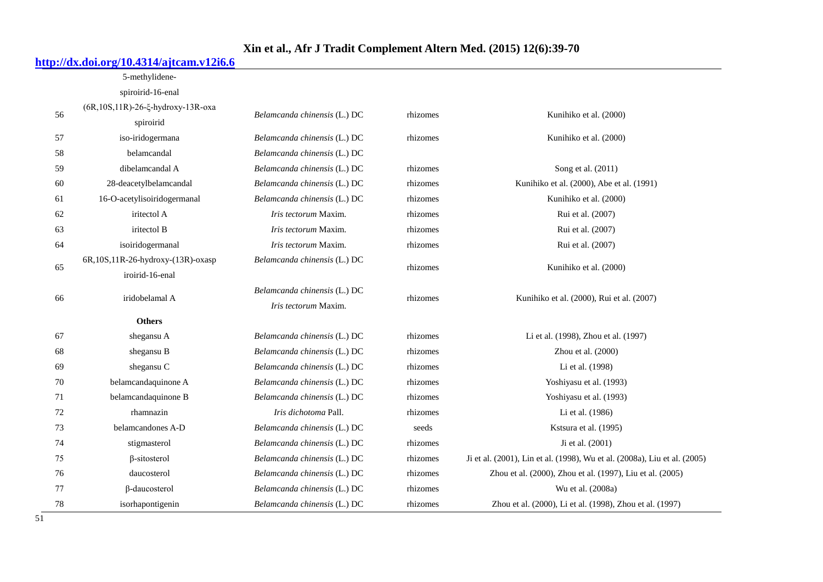# **http://dx.doi.org/10.4314/ajtcam.v12i6.6**

| 5-methylidene-    |
|-------------------|
| spiroirid-16-enal |

| 56 | (6R, 10S, 11R)-26-ξ-hydroxy-13R-oxa | Belamcanda chinensis (L.) DC | rhizomes | Kunihiko et al. (2000)                                                    |
|----|-------------------------------------|------------------------------|----------|---------------------------------------------------------------------------|
|    | spiroirid                           |                              |          |                                                                           |
| 57 | iso-iridogermana                    | Belamcanda chinensis (L.) DC | rhizomes | Kunihiko et al. (2000)                                                    |
| 58 | belamcandal                         | Belamcanda chinensis (L.) DC |          |                                                                           |
| 59 | dibelamcandal A                     | Belamcanda chinensis (L.) DC | rhizomes | Song et al. (2011)                                                        |
| 60 | 28-deacetylbelamcandal              | Belamcanda chinensis (L.) DC | rhizomes | Kunihiko et al. (2000), Abe et al. (1991)                                 |
| 61 | 16-O-acetylisoiridogermanal         | Belamcanda chinensis (L.) DC | rhizomes | Kunihiko et al. (2000)                                                    |
| 62 | iritectol A                         | <i>Iris tectorum</i> Maxim.  | rhizomes | Rui et al. (2007)                                                         |
| 63 | iritectol B                         | Iris tectorum Maxim.         | rhizomes | Rui et al. (2007)                                                         |
| 64 | isoiridogermanal                    | Iris tectorum Maxim.         | rhizomes | Rui et al. (2007)                                                         |
|    | 6R,10S,11R-26-hydroxy-(13R)-oxasp   | Belamcanda chinensis (L.) DC |          |                                                                           |
| 65 | iroirid-16-enal                     |                              | rhizomes | Kunihiko et al. (2000)                                                    |
| 66 |                                     | Belamcanda chinensis (L.) DC |          |                                                                           |
|    | iridobelamal A                      | Iris tectorum Maxim.         | rhizomes | Kunihiko et al. (2000), Rui et al. (2007)                                 |
|    | <b>Others</b>                       |                              |          |                                                                           |
| 67 | shegansu A                          | Belamcanda chinensis (L.) DC | rhizomes | Li et al. (1998), Zhou et al. (1997)                                      |
| 68 | shegansu B                          | Belamcanda chinensis (L.) DC | rhizomes | Zhou et al. $(2000)$                                                      |
| 69 | shegansu C                          | Belamcanda chinensis (L.) DC | rhizomes | Li et al. (1998)                                                          |
| 70 | belamcandaquinone A                 | Belamcanda chinensis (L.) DC | rhizomes | Yoshiyasu et al. (1993)                                                   |
| 71 | belamcandaquinone B                 | Belamcanda chinensis (L.) DC | rhizomes | Yoshiyasu et al. (1993)                                                   |
| 72 | rhamnazin                           | Iris dichotoma Pall.         | rhizomes | Li et al. (1986)                                                          |
| 73 | belamcandones A-D                   | Belamcanda chinensis (L.) DC | seeds    | Kstsura et al. (1995)                                                     |
| 74 | stigmasterol                        | Belamcanda chinensis (L.) DC | rhizomes | Ji et al. (2001)                                                          |
| 75 | $\beta$ -sitosterol                 | Belamcanda chinensis (L.) DC | rhizomes | Ji et al. (2001), Lin et al. (1998), Wu et al. (2008a), Liu et al. (2005) |
| 76 | daucosterol                         | Belamcanda chinensis (L.) DC | rhizomes | Zhou et al. (2000), Zhou et al. (1997), Liu et al. (2005)                 |
| 77 | β-daucosterol                       | Belamcanda chinensis (L.) DC | rhizomes | Wu et al. (2008a)                                                         |
| 78 | isorhapontigenin                    | Belamcanda chinensis (L.) DC | rhizomes | Zhou et al. (2000), Li et al. (1998), Zhou et al. (1997)                  |

e.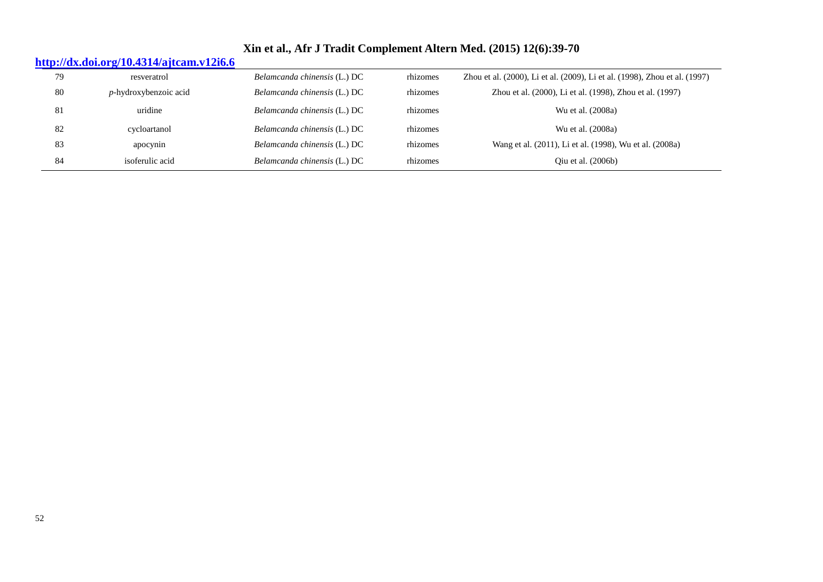| 79 | resveratrol              | Belamcanda chinensis (L.) DC | rhizomes | Zhou et al. (2000), Li et al. (2009), Li et al. (1998), Zhou et al. (1997) |
|----|--------------------------|------------------------------|----------|----------------------------------------------------------------------------|
| 80 | $p$ -hydroxybenzoic acid | Belamcanda chinensis (L.) DC | rhizomes | Zhou et al. (2000), Li et al. (1998), Zhou et al. (1997)                   |
| 81 | uridine                  | Belamcanda chinensis (L.) DC | rhizomes | Wu et al. (2008a)                                                          |
| 82 | cycloartanol             | Belamcanda chinensis (L.) DC | rhizomes | Wu et al. (2008a)                                                          |
| 83 | apocynin                 | Belamcanda chinensis (L.) DC | rhizomes | Wang et al. (2011), Li et al. (1998), Wu et al. (2008a)                    |
| 84 | isoferulic acid          | Belamcanda chinensis (L.) DC | rhizomes | Qiu et al. (2006b)                                                         |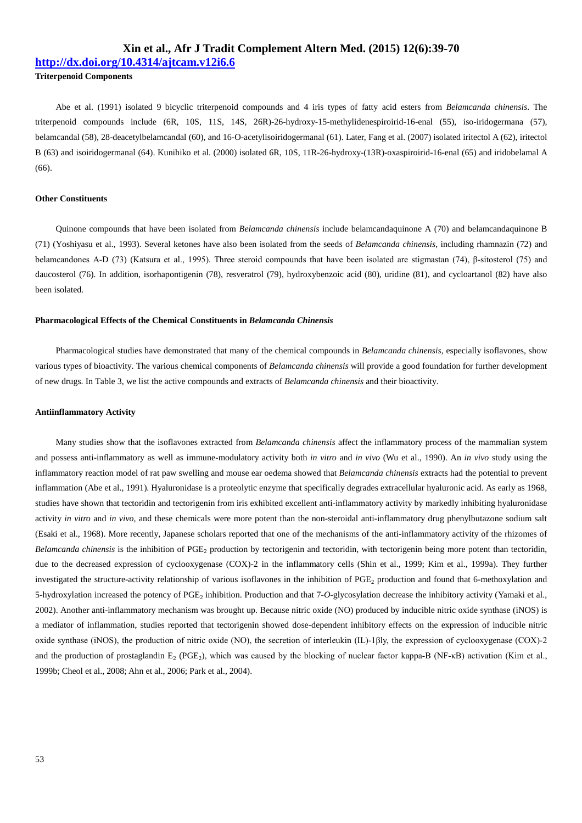**http://dx.doi.org/10.4314/ajtcam.v12i6.6**

### **Triterpenoid Components**

Abe et al. (1991) isolated 9 bicyclic triterpenoid compounds and 4 iris types of fatty acid esters from *Belamcanda chinensis*. The triterpenoid compounds include (6R, 10S, 11S, 14S, 26R)-26-hydroxy-15-methylidenespiroirid-16-enal (55), iso-iridogermana (57), belamcandal (58), 28-deacetylbelamcandal (60), and 16-O-acetylisoiridogermanal (61). Later, Fang et al. (2007) isolated iritectol A (62), iritectol B (63) and isoiridogermanal (64). Kunihiko et al. (2000) isolated 6R, 10S, 11R-26-hydroxy-(13R)-oxaspiroirid-16-enal (65) and iridobelamal A (66).

### **Other Constituents**

Quinone compounds that have been isolated from *Belamcanda chinensis* include belamcandaquinone A (70) and belamcandaquinone B (71) (Yoshiyasu et al., 1993). Several ketones have also been isolated from the seeds of *Belamcanda chinensis*, including rhamnazin (72) and belamcandones A-D (73) (Katsura et al., 1995). Three steroid compounds that have been isolated are stigmastan (74), β-sitosterol (75) and daucosterol (76). In addition, isorhapontigenin (78), resveratrol (79), hydroxybenzoic acid (80), uridine (81), and cycloartanol (82) have also been isolated.

#### **Pharmacological Effects of the Chemical Constituents in** *Belamcanda Chinensis*

Pharmacological studies have demonstrated that many of the chemical compounds in *Belamcanda chinensis*, especially isoflavones, show various types of bioactivity. The various chemical components of *Belamcanda chinensis* will provide a good foundation for further development of new drugs. In Table 3, we list the active compounds and extracts of *Belamcanda chinensis* and their bioactivity.

### **Antiinflammatory Activity**

Many studies show that the isoflavones extracted from *Belamcanda chinensis* affect the inflammatory process of the mammalian system and possess anti-inflammatory as well as immune-modulatory activity both *in vitro* and *in vivo* (Wu et al., 1990). An *in vivo* study using the inflammatory reaction model of rat paw swelling and mouse ear oedema showed that *Belamcanda chinensis* extracts had the potential to prevent inflammation (Abe et al., 1991). Hyaluronidase is a proteolytic enzyme that specifically degrades extracellular hyaluronic acid. As early as 1968, studies have shown that tectoridin and tectorigenin from iris exhibited excellent anti-inflammatory activity by markedly inhibiting hyaluronidase activity *in vitro* and *in vivo*, and these chemicals were more potent than the non-steroidal anti-inflammatory drug phenylbutazone sodium salt (Esaki et al., 1968). More recently, Japanese scholars reported that one of the mechanisms of the anti-inflammatory activity of the rhizomes of *Belamcanda chinensis* is the inhibition of PGE<sup>2</sup> production by tectorigenin and tectoridin, with tectorigenin being more potent than tectoridin, due to the decreased expression of cyclooxygenase (COX)-2 in the inflammatory cells (Shin et al., 1999; Kim et al., 1999a). They further investigated the structure-activity relationship of various isoflavones in the inhibition of PGE<sub>2</sub> production and found that 6-methoxylation and 5-hydroxylation increased the potency of PGE<sub>2</sub> inhibition. Production and that 7-*O*-glycosylation decrease the inhibitory activity (Yamaki et al., 2002). Another anti-inflammatory mechanism was brought up. Because nitric oxide (NO) produced by inducible nitric oxide synthase (iNOS) is a mediator of inflammation, studies reported that tectorigenin showed dose-dependent inhibitory effects on the expression of inducible nitric oxide synthase (iNOS), the production of nitric oxide (NO), the secretion of interleukin (IL)-1βly, the expression of cyclooxygenase (COX)-2 and the production of prostaglandin  $E_2$  (PGE<sub>2</sub>), which was caused by the blocking of nuclear factor kappa-B (NF- $\kappa$ B) activation (Kim et al., 1999b; Cheol et al., 2008; Ahn et al., 2006; Park et al., 2004).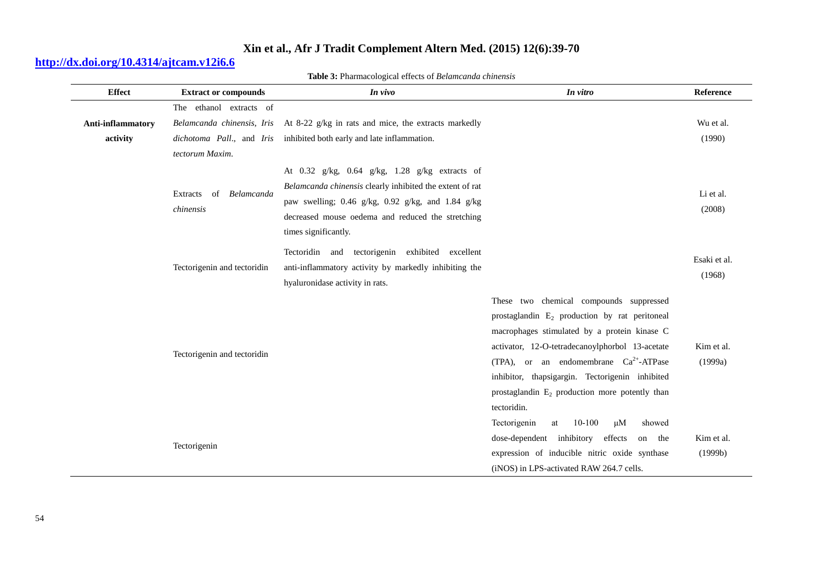# **http://dx.doi.org/10.4314/ajtcam.v12i6.6**

| <b>Effect</b>     | <b>Extract or compounds</b>            | In vivo                                                                                                                                                                                                                                      | In vitro                                                                                                                                                                                                                                                                                                                                                             | Reference              |
|-------------------|----------------------------------------|----------------------------------------------------------------------------------------------------------------------------------------------------------------------------------------------------------------------------------------------|----------------------------------------------------------------------------------------------------------------------------------------------------------------------------------------------------------------------------------------------------------------------------------------------------------------------------------------------------------------------|------------------------|
|                   | The ethanol extracts of                |                                                                                                                                                                                                                                              |                                                                                                                                                                                                                                                                                                                                                                      |                        |
| Anti-inflammatory |                                        | Belamcanda chinensis, Iris At 8-22 g/kg in rats and mice, the extracts markedly                                                                                                                                                              |                                                                                                                                                                                                                                                                                                                                                                      | Wu et al.              |
| activity          |                                        | dichotoma Pall., and Iris inhibited both early and late inflammation.                                                                                                                                                                        |                                                                                                                                                                                                                                                                                                                                                                      | (1990)                 |
|                   | tectorum Maxim.                        |                                                                                                                                                                                                                                              |                                                                                                                                                                                                                                                                                                                                                                      |                        |
|                   | Belamcanda<br>Extracts of<br>chinensis | At 0.32 g/kg, 0.64 g/kg, 1.28 g/kg extracts of<br>Belamcanda chinensis clearly inhibited the extent of rat<br>paw swelling; 0.46 g/kg, 0.92 g/kg, and 1.84 g/kg<br>decreased mouse oedema and reduced the stretching<br>times significantly. |                                                                                                                                                                                                                                                                                                                                                                      | Li et al.<br>(2008)    |
|                   | Tectorigenin and tectoridin            | Tectoridin and tectorigenin exhibited excellent<br>anti-inflammatory activity by markedly inhibiting the<br>hyaluronidase activity in rats.                                                                                                  |                                                                                                                                                                                                                                                                                                                                                                      | Esaki et al.<br>(1968) |
|                   | Tectorigenin and tectoridin            |                                                                                                                                                                                                                                              | These two chemical compounds suppressed<br>prostaglandin $E_2$ production by rat peritoneal<br>macrophages stimulated by a protein kinase C<br>activator, 12-O-tetradecanoylphorbol 13-acetate<br>(TPA), or an endomembrane $Ca^{2+}$ -ATPase<br>inhibitor, thapsigargin. Tectorigenin inhibited<br>prostaglandin $E_2$ production more potently than<br>tectoridin. | Kim et al.<br>(1999a)  |
|                   | Tectorigenin                           |                                                                                                                                                                                                                                              | Tectorigenin<br>10-100<br>showed<br>at<br>$\mu$ M<br>dose-dependent inhibitory effects<br>on the<br>expression of inducible nitric oxide synthase<br>(iNOS) in LPS-activated RAW 264.7 cells.                                                                                                                                                                        | Kim et al.<br>(1999b)  |

**Table 3:** Pharmacological effects of *Belamcanda chinensis*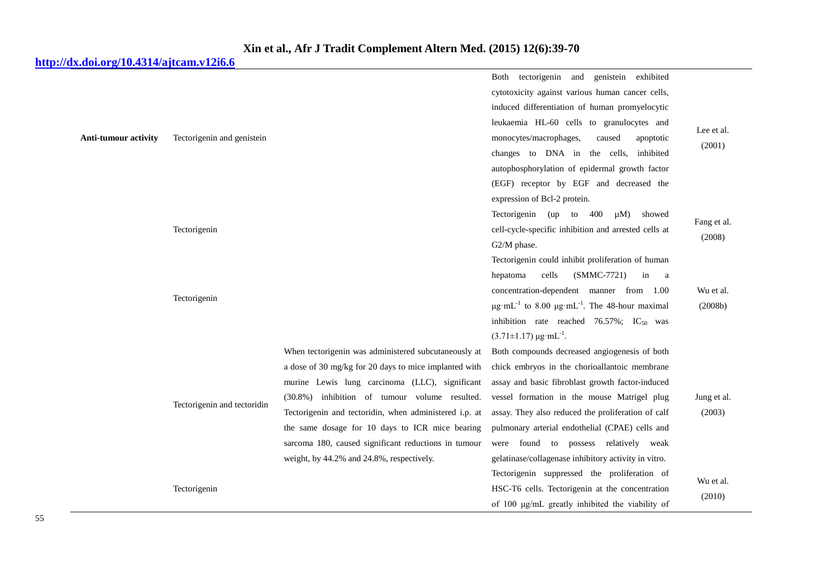|                             |                             |                                                        | tectorigenin and<br>genistein exhibited<br>Both                                 |             |
|-----------------------------|-----------------------------|--------------------------------------------------------|---------------------------------------------------------------------------------|-------------|
|                             |                             |                                                        | cytotoxicity against various human cancer cells,                                |             |
|                             |                             |                                                        | induced differentiation of human promyelocytic                                  |             |
|                             |                             |                                                        | leukaemia HL-60 cells to granulocytes and                                       | Lee et al.  |
| <b>Anti-tumour activity</b> | Tectorigenin and genistein  |                                                        | monocytes/macrophages,<br>caused<br>apoptotic                                   |             |
|                             |                             |                                                        | changes to DNA in the cells, inhibited                                          | (2001)      |
|                             |                             |                                                        | autophosphorylation of epidermal growth factor                                  |             |
|                             |                             |                                                        | (EGF) receptor by EGF and decreased the                                         |             |
|                             |                             |                                                        | expression of Bcl-2 protein.                                                    |             |
|                             |                             |                                                        | 400<br>Tectorigenin (up to<br>$\mu$ M) showed                                   | Fang et al. |
|                             | Tectorigenin                |                                                        | cell-cycle-specific inhibition and arrested cells at                            | (2008)      |
|                             |                             |                                                        | G2/M phase.                                                                     |             |
|                             |                             |                                                        | Tectorigenin could inhibit proliferation of human                               |             |
|                             |                             |                                                        | cells<br>$(SMMC-7721)$<br>hepatoma<br>in<br><sub>a</sub>                        |             |
|                             | Tectorigenin                |                                                        | concentration-dependent manner from 1.00                                        | Wu et al.   |
|                             |                             |                                                        | $\mu$ g·mL <sup>-1</sup> to 8.00 $\mu$ g·mL <sup>-1</sup> . The 48-hour maximal | (2008b)     |
|                             |                             |                                                        | inhibition rate reached 76.57%; $IC_{50}$ was                                   |             |
|                             |                             |                                                        | $(3.71 \pm 1.17)$ µg·mL <sup>-1</sup> .                                         |             |
|                             |                             | When tectorigenin was administered subcutaneously at   | Both compounds decreased angiogenesis of both                                   |             |
|                             |                             | a dose of 30 mg/kg for 20 days to mice implanted with  | chick embryos in the chorioallantoic membrane                                   |             |
|                             |                             | murine Lewis lung carcinoma (LLC), significant         | assay and basic fibroblast growth factor-induced                                |             |
|                             | Tectorigenin and tectoridin | (30.8%) inhibition of tumour volume resulted.          | vessel formation in the mouse Matrigel plug                                     | Jung et al. |
|                             |                             | Tectorigenin and tectoridin, when administered i.p. at | assay. They also reduced the proliferation of calf                              | (2003)      |
|                             |                             | the same dosage for 10 days to ICR mice bearing        | pulmonary arterial endothelial (CPAE) cells and                                 |             |
|                             |                             | sarcoma 180, caused significant reductions in tumour   | were found to possess relatively weak                                           |             |
|                             |                             | weight, by 44.2% and 24.8%, respectively.              | gelatinase/collagenase inhibitory activity in vitro.                            |             |
|                             |                             |                                                        | Tectorigenin suppressed the proliferation of                                    | Wu et al.   |
|                             | Tectorigenin                |                                                        | HSC-T6 cells. Tectorigenin at the concentration                                 | (2010)      |
|                             |                             |                                                        | of 100 µg/mL greatly inhibited the viability of                                 |             |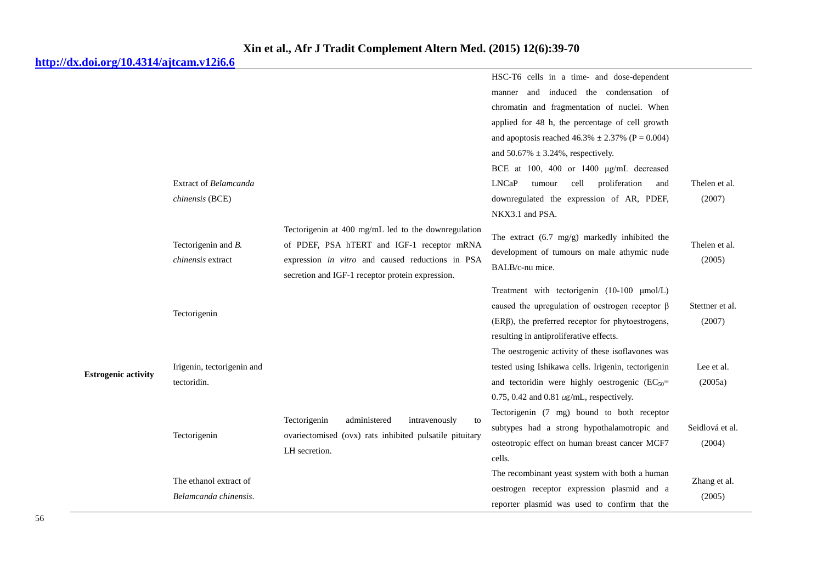|                            |                                          |                                                                                                                                                                                                           | HSC-T6 cells in a time- and dose-dependent                                                                                |                         |
|----------------------------|------------------------------------------|-----------------------------------------------------------------------------------------------------------------------------------------------------------------------------------------------------------|---------------------------------------------------------------------------------------------------------------------------|-------------------------|
|                            |                                          |                                                                                                                                                                                                           | manner and induced the condensation of                                                                                    |                         |
|                            |                                          |                                                                                                                                                                                                           | chromatin and fragmentation of nuclei. When                                                                               |                         |
|                            |                                          |                                                                                                                                                                                                           | applied for 48 h, the percentage of cell growth                                                                           |                         |
|                            |                                          |                                                                                                                                                                                                           | and apoptosis reached $46.3\% \pm 2.37\%$ (P = 0.004)                                                                     |                         |
|                            |                                          |                                                                                                                                                                                                           | and $50.67\% \pm 3.24\%$ , respectively.                                                                                  |                         |
|                            |                                          |                                                                                                                                                                                                           | BCE at 100, 400 or 1400 µg/mL decreased                                                                                   |                         |
|                            | Extract of Belamcanda                    |                                                                                                                                                                                                           | <b>LNCaP</b><br>cell<br>proliferation<br>tumour<br>and                                                                    | Thelen et al.           |
|                            | chinensis (BCE)                          |                                                                                                                                                                                                           | downregulated the expression of AR, PDEF,                                                                                 | (2007)                  |
|                            |                                          |                                                                                                                                                                                                           | NKX3.1 and PSA.                                                                                                           |                         |
|                            | Tectorigenin and B.<br>chinensis extract | Tectorigenin at 400 mg/mL led to the downregulation<br>of PDEF, PSA hTERT and IGF-1 receptor mRNA<br>expression in vitro and caused reductions in PSA<br>secretion and IGF-1 receptor protein expression. | The extract $(6.7 \text{ mg/g})$ markedly inhibited the<br>development of tumours on male athymic nude<br>BALB/c-nu mice. | Thelen et al.<br>(2005) |
|                            |                                          |                                                                                                                                                                                                           | Treatment with tectorigenin (10-100 µmol/L)                                                                               |                         |
|                            | Tectorigenin                             |                                                                                                                                                                                                           | caused the upregulation of oestrogen receptor $\beta$                                                                     | Stettner et al.         |
|                            |                                          |                                                                                                                                                                                                           | $(ER\beta)$ , the preferred receptor for phytoestrogens,                                                                  | (2007)                  |
|                            |                                          |                                                                                                                                                                                                           | resulting in antiproliferative effects.                                                                                   |                         |
|                            |                                          |                                                                                                                                                                                                           | The oestrogenic activity of these isoflavones was                                                                         |                         |
| <b>Estrogenic activity</b> | Irigenin, tectorigenin and               |                                                                                                                                                                                                           | tested using Ishikawa cells. Irigenin, tectorigenin                                                                       | Lee et al.              |
|                            | tectoridin.                              |                                                                                                                                                                                                           | and tectoridin were highly oestrogenic $(EC_{50} =$                                                                       | (2005a)                 |
|                            |                                          |                                                                                                                                                                                                           | 0.75, 0.42 and 0.81 $\mu$ g/mL, respectively.                                                                             |                         |
|                            | Tectorigenin                             | administered<br>Tectorigenin<br>intravenously<br>to<br>ovariectomised (ovx) rats inhibited pulsatile pituitary                                                                                            | Tectorigenin (7 mg) bound to both receptor                                                                                |                         |
|                            |                                          |                                                                                                                                                                                                           | subtypes had a strong hypothalamotropic and                                                                               | Seidlová et al.         |
|                            |                                          | LH secretion.                                                                                                                                                                                             | osteotropic effect on human breast cancer MCF7                                                                            | (2004)                  |
|                            |                                          |                                                                                                                                                                                                           | cells.                                                                                                                    |                         |
|                            |                                          | The ethanol extract of                                                                                                                                                                                    | The recombinant yeast system with both a human                                                                            | Zhang et al.            |
|                            | Belamcanda chinensis.                    |                                                                                                                                                                                                           | oestrogen receptor expression plasmid and a                                                                               | (2005)                  |
|                            |                                          |                                                                                                                                                                                                           | reporter plasmid was used to confirm that the                                                                             |                         |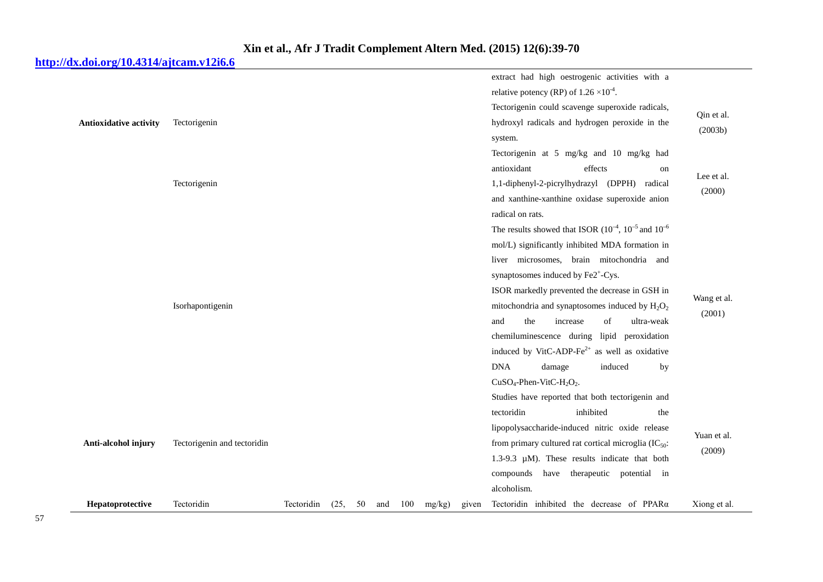|                               |                             |            |      |                                                |        |     |                                                |                                                          | extract had high oestrogenic activities with a                  |              |
|-------------------------------|-----------------------------|------------|------|------------------------------------------------|--------|-----|------------------------------------------------|----------------------------------------------------------|-----------------------------------------------------------------|--------------|
| <b>Antioxidative activity</b> |                             |            |      |                                                |        |     |                                                |                                                          | relative potency (RP) of $1.26 \times 10^{-4}$ .                |              |
|                               | Tectorigenin                |            |      |                                                |        |     |                                                | Tectorigenin could scavenge superoxide radicals,         | Qin et al.                                                      |              |
|                               |                             |            |      |                                                |        |     | hydroxyl radicals and hydrogen peroxide in the | (2003b)                                                  |                                                                 |              |
|                               |                             |            |      |                                                |        |     |                                                | system.                                                  |                                                                 |              |
|                               |                             |            |      |                                                |        |     |                                                |                                                          | Tectorigenin at 5 mg/kg and 10 mg/kg had                        |              |
|                               |                             |            |      |                                                |        |     |                                                |                                                          | antioxidant<br>effects<br>on                                    | Lee et al.   |
|                               | Tectorigenin                |            |      |                                                |        |     |                                                |                                                          | 1,1-diphenyl-2-picrylhydrazyl (DPPH) radical                    |              |
|                               |                             |            |      | and xanthine-xanthine oxidase superoxide anion | (2000) |     |                                                |                                                          |                                                                 |              |
|                               |                             |            |      |                                                |        |     |                                                |                                                          | radical on rats.                                                |              |
|                               |                             |            |      |                                                |        |     |                                                |                                                          | The results showed that ISOR $(10^{-4}, 10^{-5})$ and $10^{-6}$ |              |
|                               |                             |            |      |                                                |        |     |                                                |                                                          | mol/L) significantly inhibited MDA formation in                 |              |
|                               |                             |            |      |                                                |        |     |                                                |                                                          | liver microsomes, brain mitochondria and                        |              |
|                               |                             |            |      |                                                |        |     |                                                |                                                          | synaptosomes induced by Fe2 <sup>+</sup> -Cys.                  |              |
|                               |                             |            |      |                                                |        |     |                                                |                                                          | ISOR markedly prevented the decrease in GSH in                  | Wang et al.  |
|                               | Isorhapontigenin            |            |      |                                                |        |     |                                                |                                                          | mitochondria and synaptosomes induced by $H_2O_2$               | (2001)       |
|                               |                             |            |      |                                                |        |     |                                                |                                                          | the<br>increase<br>of<br>ultra-weak<br>and                      |              |
|                               |                             |            |      |                                                |        |     |                                                |                                                          | chemiluminescence during lipid peroxidation                     |              |
|                               |                             |            |      |                                                |        |     |                                                |                                                          | induced by VitC-ADP- $Fe^{2+}$ as well as oxidative             |              |
|                               |                             |            |      |                                                |        |     |                                                |                                                          | <b>DNA</b><br>damage<br>induced<br>by                           |              |
|                               |                             |            |      |                                                |        |     |                                                |                                                          | $CuSO4$ -Phen-VitC-H <sub>2</sub> O <sub>2</sub> .              |              |
|                               |                             |            |      |                                                |        |     |                                                |                                                          | Studies have reported that both tectorigenin and                |              |
|                               |                             |            |      |                                                |        |     |                                                |                                                          | tectoridin<br>inhibited<br>the                                  |              |
| Anti-alcohol injury           | Tectorigenin and tectoridin |            |      |                                                |        |     |                                                |                                                          | lipopolysaccharide-induced nitric oxide release                 | Yuan et al.  |
|                               |                             |            |      |                                                |        |     |                                                | from primary cultured rat cortical microglia $(IC_{50}:$ | (2009)                                                          |              |
|                               |                             |            |      |                                                |        |     |                                                |                                                          | 1.3-9.3 $\mu$ M). These results indicate that both              |              |
|                               |                             |            |      |                                                |        |     |                                                |                                                          | compounds have therapeutic potential in                         |              |
|                               |                             |            |      |                                                |        |     |                                                |                                                          | alcoholism.                                                     |              |
| Hepatoprotective              | Tectoridin                  | Tectoridin | (25, | 50                                             | and    | 100 | mg/kg)                                         | given                                                    | Tectoridin inhibited the decrease of $PPAR\alpha$               | Xiong et al. |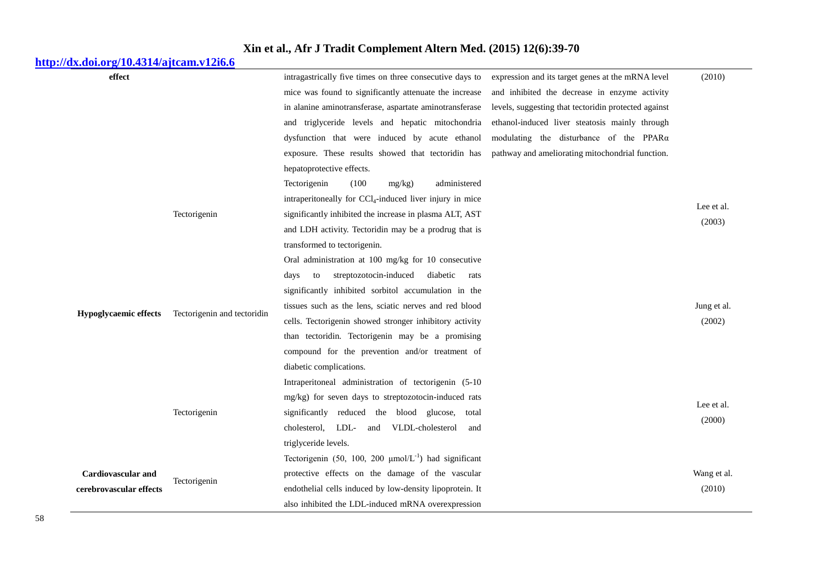| http://dx.doi.org/10.4314/ajtcam.v12i6.6 |                             |                                                                        |                                                      |             |
|------------------------------------------|-----------------------------|------------------------------------------------------------------------|------------------------------------------------------|-------------|
| effect                                   |                             | intragastrically five times on three consecutive days to               | expression and its target genes at the mRNA level    | (2010)      |
|                                          |                             | mice was found to significantly attenuate the increase                 | and inhibited the decrease in enzyme activity        |             |
|                                          |                             | in alanine aminotransferase, aspartate aminotransferase                | levels, suggesting that tectoridin protected against |             |
|                                          |                             | and triglyceride levels and hepatic mitochondria                       | ethanol-induced liver steatosis mainly through       |             |
|                                          |                             | dysfunction that were induced by acute ethanol                         | modulating the disturbance of the PPAR $\alpha$      |             |
|                                          |                             | exposure. These results showed that tectoridin has                     | pathway and ameliorating mitochondrial function.     |             |
|                                          |                             | hepatoprotective effects.                                              |                                                      |             |
|                                          |                             | (100)<br>administered<br>Tectorigenin<br>$mg/kg$ )                     |                                                      |             |
|                                          |                             | intraperitoneally for CCl <sub>4</sub> -induced liver injury in mice   |                                                      |             |
|                                          | Tectorigenin                | significantly inhibited the increase in plasma ALT, AST                |                                                      | Lee et al.  |
|                                          |                             | and LDH activity. Tectoridin may be a prodrug that is                  |                                                      | (2003)      |
|                                          |                             | transformed to tectorigenin.                                           |                                                      |             |
|                                          |                             | Oral administration at 100 mg/kg for 10 consecutive                    |                                                      |             |
|                                          |                             | streptozotocin-induced<br>diabetic<br>to<br>days<br>rats               |                                                      |             |
|                                          |                             | significantly inhibited sorbitol accumulation in the                   |                                                      |             |
|                                          | Tectorigenin and tectoridin | tissues such as the lens, sciatic nerves and red blood                 |                                                      | Jung et al. |
| <b>Hypoglycaemic effects</b>             |                             | cells. Tectorigenin showed stronger inhibitory activity                |                                                      | (2002)      |
|                                          |                             | than tectoridin. Tectorigenin may be a promising                       |                                                      |             |
|                                          |                             | compound for the prevention and/or treatment of                        |                                                      |             |
|                                          |                             | diabetic complications.                                                |                                                      |             |
|                                          |                             | Intraperitoneal administration of tectorigenin (5-10                   |                                                      |             |
|                                          |                             | mg/kg) for seven days to streptozotocin-induced rats                   |                                                      | Lee et al.  |
|                                          | Tectorigenin                | significantly reduced the blood glucose, total                         |                                                      | (2000)      |
|                                          |                             | cholesterol, LDL- and VLDL-cholesterol<br>and                          |                                                      |             |
|                                          |                             | triglyceride levels.                                                   |                                                      |             |
|                                          |                             | Tectorigenin (50, 100, 200 $\mu$ mol/L <sup>-1</sup> ) had significant |                                                      |             |
| Cardiovascular and                       | Tectorigenin                | protective effects on the damage of the vascular                       |                                                      | Wang et al. |
| cerebrovascular effects                  |                             | endothelial cells induced by low-density lipoprotein. It               |                                                      | (2010)      |
|                                          |                             | also inhibited the LDL-induced mRNA overexpression                     |                                                      |             |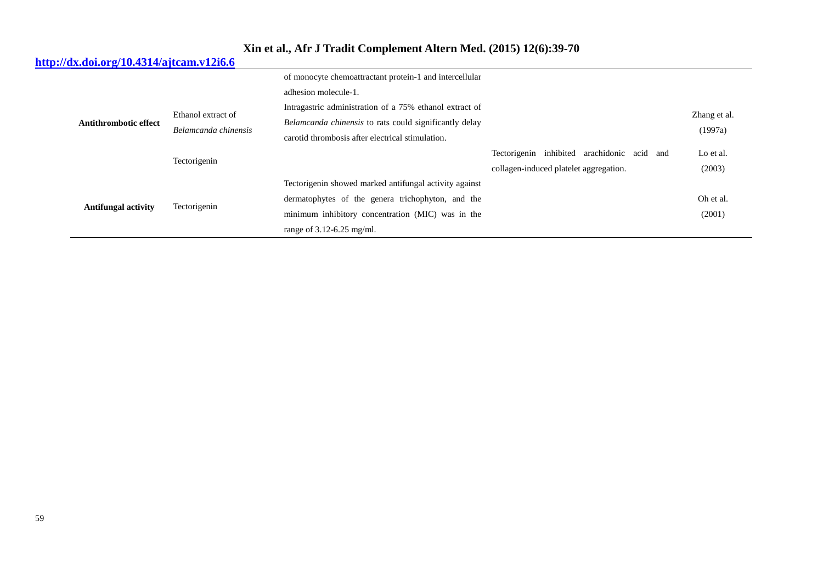|                       |                                            | of monocyte chemoattractant protein-1 and intercellular |                                             |           |  |
|-----------------------|--------------------------------------------|---------------------------------------------------------|---------------------------------------------|-----------|--|
| Antithrombotic effect |                                            | adhesion molecule-1.                                    |                                             |           |  |
|                       | Ethanol extract of<br>Belamcanda chinensis | Intragastric administration of a 75% ethanol extract of | Zhang et al.                                |           |  |
|                       |                                            | Belamcanda chinensis to rats could significantly delay  |                                             |           |  |
|                       |                                            | carotid thrombosis after electrical stimulation.        |                                             | (1997a)   |  |
|                       | Tectorigenin                               |                                                         | Tectorigenin inhibited arachidonic acid and | Lo et al. |  |
|                       |                                            |                                                         | collagen-induced platelet aggregation.      | (2003)    |  |
|                       | Tectorigenin                               | Tectorigenin showed marked antifungal activity against  |                                             |           |  |
| Antifungal activity   |                                            | dermatophytes of the genera trichophyton, and the       |                                             | Oh et al. |  |
|                       |                                            | minimum inhibitory concentration (MIC) was in the       |                                             | (2001)    |  |
|                       |                                            | range of $3.12 - 6.25$ mg/ml.                           |                                             |           |  |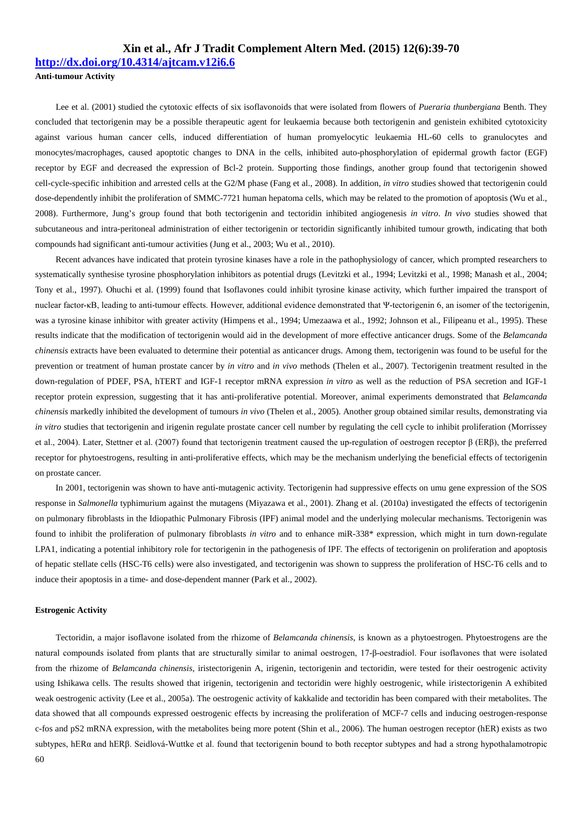**Anti-tumour Activity**

Lee et al. (2001) studied the cytotoxic effects of six isoflavonoids that were isolated from flowers of *Pueraria thunbergiana* Benth. They concluded that tectorigenin may be a possible therapeutic agent for leukaemia because both tectorigenin and genistein exhibited cytotoxicity against various human cancer cells, induced differentiation of human promyelocytic leukaemia HL-60 cells to granulocytes and monocytes/macrophages, caused apoptotic changes to DNA in the cells, inhibited auto-phosphorylation of epidermal growth factor (EGF) receptor by EGF and decreased the expression of Bcl-2 protein. Supporting those findings, another group found that tectorigenin showed cell-cycle-specific inhibition and arrested cells at the G2/M phase (Fang et al., 2008). In addition, *in vitro* studies showed that tectorigenin could dose-dependently inhibit the proliferation of SMMC-7721 human hepatoma cells, which may be related to the promotion of apoptosis (Wu et al., 2008). Furthermore, Jung's group found that both tectorigenin and tectoridin inhibited angiogenesis *in vitro*. *In vivo* studies showed that subcutaneous and intra-peritoneal administration of either tectorigenin or tectoridin significantly inhibited tumour growth, indicating that both compounds had significant anti-tumour activities (Jung et al., 2003; Wu et al., 2010).

Recent advances have indicated that protein tyrosine kinases have a role in the pathophysiology of cancer, which prompted researchers to systematically synthesise tyrosine phosphorylation inhibitors as potential drugs (Levitzki et al., 1994; Levitzki et al., 1998; Manash et al., 2004; Tony et al., 1997). Ohuchi et al. (1999) found that Isoflavones could inhibit tyrosine kinase activity, which further impaired the transport of nuclear factor-κB, leading to anti-tumour effects. However, additional evidence demonstrated that Ψ-tectorigenin 6, an isomer of the tectorigenin, was a tyrosine kinase inhibitor with greater activity (Himpens et al., 1994; Umezaawa et al., 1992; Johnson et al., Filipeanu et al., 1995). These results indicate that the modification of tectorigenin would aid in the development of more effective anticancer drugs. Some of the *Belamcanda chinensis* extracts have been evaluated to determine their potential as anticancer drugs. Among them, tectorigenin was found to be useful for the prevention or treatment of human prostate cancer by *in vitro* and *in vivo* methods (Thelen et al., 2007). Tectorigenin treatment resulted in the down-regulation of PDEF, PSA, hTERT and IGF-1 receptor mRNA expression *in vitro* as well as the reduction of PSA secretion and IGF-1 receptor protein expression, suggesting that it has anti-proliferative potential. Moreover, animal experiments demonstrated that *Belamcanda chinensis* markedly inhibited the development of tumours *in vivo* (Thelen et al., 2005). Another group obtained similar results, demonstrating via *in vitro* studies that tectorigenin and irigenin regulate prostate cancer cell number by regulating the cell cycle to inhibit proliferation (Morrissey et al., 2004). Later, Stettner et al. (2007) found that tectorigenin treatment caused the up-regulation of oestrogen receptor β (ERβ), the preferred receptor for phytoestrogens, resulting in anti-proliferative effects, which may be the mechanism underlying the beneficial effects of tectorigenin on prostate cancer.

In 2001, tectorigenin was shown to have anti-mutagenic activity. Tectorigenin had suppressive effects on umu gene expression of the SOS response in *Salmonella* typhimurium against the mutagens (Miyazawa et al., 2001). Zhang et al. (2010a) investigated the effects of tectorigenin on pulmonary fibroblasts in the Idiopathic Pulmonary Fibrosis (IPF) animal model and the underlying molecular mechanisms. Tectorigenin was found to inhibit the proliferation of pulmonary fibroblasts *in vitro* and to enhance miR-338\* expression, which might in turn down-regulate LPA1, indicating a potential inhibitory role for tectorigenin in the pathogenesis of IPF. The effects of tectorigenin on proliferation and apoptosis of hepatic stellate cells (HSC-T6 cells) were also investigated, and tectorigenin was shown to suppress the proliferation of HSC-T6 cells and to induce their apoptosis in a time- and dose-dependent manner (Park et al., 2002).

#### **Estrogenic Activity**

60 Tectoridin, a major isoflavone isolated from the rhizome of *Belamcanda chinensis*, is known as a phytoestrogen. Phytoestrogens are the natural compounds isolated from plants that are structurally similar to animal oestrogen, 17-β-oestradiol. Four isoflavones that were isolated from the rhizome of *Belamcanda chinensis*, iristectorigenin A, irigenin, tectorigenin and tectoridin, were tested for their oestrogenic activity using Ishikawa cells. The results showed that irigenin, tectorigenin and tectoridin were highly oestrogenic, while iristectorigenin A exhibited weak oestrogenic activity (Lee et al., 2005a). The oestrogenic activity of kakkalide and tectoridin has been compared with their metabolites. The data showed that all compounds expressed oestrogenic effects by increasing the proliferation of MCF-7 cells and inducing oestrogen-response c-fos and pS2 mRNA expression, with the metabolites being more potent (Shin et al., 2006). The human oestrogen receptor (hER) exists as two subtypes, hERα and hERβ. Seidlová-Wuttke et al. found that tectorigenin bound to both receptor subtypes and had a strong hypothalamotropic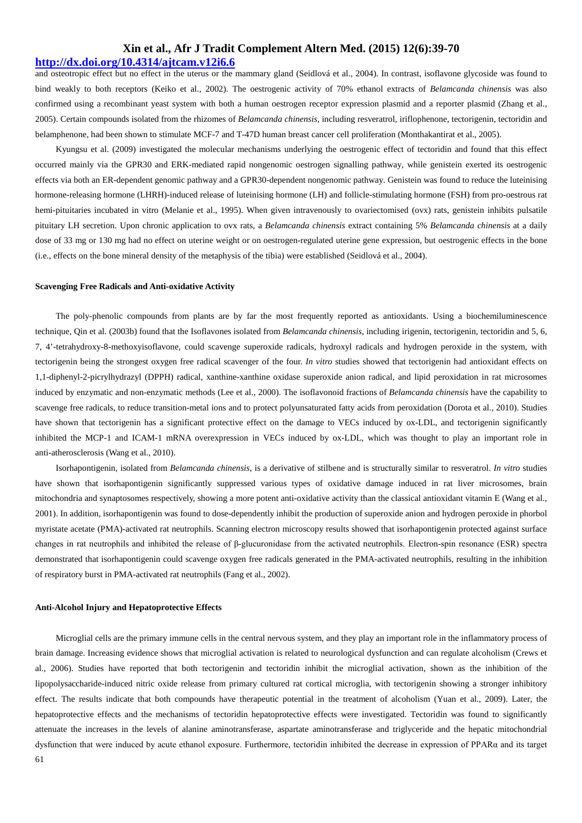and osteotropic effect but no effect in the uterus or the mammary gland (Seidlová et al., 2004). In contrast, isoflavone glycoside was found to bind weakly to both receptors (Keiko et al., 2002). The oestrogenic activity of 70% ethanol extracts of *Belamcanda chinensis* was also confirmed using a recombinant yeast system with both a human oestrogen receptor expression plasmid and a reporter plasmid (Zhang et al., 2005). Certain compounds isolated from the rhizomes of *Belamcanda chinensis*, including resveratrol, iriflophenone, tectorigenin, tectoridin and belamphenone, had been shown to stimulate MCF-7 and T-47D human breast cancer cell proliferation (Monthakantirat et al., 2005).

Kyungsu et al. (2009) investigated the molecular mechanisms underlying the oestrogenic effect of tectoridin and found that this effect occurred mainly via the GPR30 and ERK-mediated rapid nongenomic oestrogen signalling pathway, while genistein exerted its oestrogenic effects via both an ER-dependent genomic pathway and a GPR30-dependent nongenomic pathway. Genistein was found to reduce the luteinising hormone-releasing hormone (LHRH)-induced release of luteinising hormone (LH) and follicle-stimulating hormone (FSH) from pro-oestrous rat hemi-pituitaries incubated in vitro (Melanie et al., 1995). When given intravenously to ovariectomised (ovx) rats, genistein inhibits pulsatile pituitary LH secretion. Upon chronic application to ovx rats, a *Belamcanda chinensis* extract containing 5% *Belamcanda chinensis* at a daily dose of 33 mg or 130 mg had no effect on uterine weight or on oestrogen-regulated uterine gene expression, but oestrogenic effects in the bone (i.e., effects on the bone mineral density of the metaphysis of the tibia) were established (Seidlová et al., 2004).

#### **Scavenging Free Radicals and Anti-oxidative Activity**

The poly-phenolic compounds from plants are by far the most frequently reported as antioxidants. Using a biochemiluminescence technique, Qin et al. (2003b) found that the Isoflavones isolated from *Belamcanda chinensis*, including irigenin, tectorigenin, tectoridin and 5, 6, 7, 4'-tetrahydroxy-8-methoxyisoflavone, could scavenge superoxide radicals, hydroxyl radicals and hydrogen peroxide in the system, with tectorigenin being the strongest oxygen free radical scavenger of the four. *In vitro* studies showed that tectorigenin had antioxidant effects on 1,1-diphenyl-2-picrylhydrazyl (DPPH) radical, xanthine-xanthine oxidase superoxide anion radical, and lipid peroxidation in rat microsomes induced by enzymatic and non-enzymatic methods (Lee et al., 2000). The isoflavonoid fractions of *Belamcanda chinensis* have the capability to scavenge free radicals, to reduce transition-metal ions and to protect polyunsaturated fatty acids from peroxidation (Dorota et al., 2010). Studies have shown that tectorigenin has a significant protective effect on the damage to VECs induced by ox-LDL, and tectorigenin significantly inhibited the MCP-1 and ICAM-1 mRNA overexpression in VECs induced by ox-LDL, which was thought to play an important role in anti-atherosclerosis (Wang et al., 2010).

Isorhapontigenin, isolated from *Belamcanda chinensis*, is a derivative of stilbene and is structurally similar to resveratrol. *In vitro* studies have shown that isorhapontigenin significantly suppressed various types of oxidative damage induced in rat liver microsomes, brain mitochondria and synaptosomes respectively, showing a more potent anti-oxidative activity than the classical antioxidant vitamin E (Wang et al., 2001). In addition, isorhapontigenin was found to dose-dependently inhibit the production of superoxide anion and hydrogen peroxide in phorbol myristate acetate (PMA)-activated rat neutrophils. Scanning electron microscopy results showed that isorhapontigenin protected against surface changes in rat neutrophils and inhibited the release of β-glucuronidase from the activated neutrophils. Electron-spin resonance (ESR) spectra demonstrated that isorhapontigenin could scavenge oxygen free radicals generated in the PMA-activated neutrophils, resulting in the inhibition of respiratory burst in PMA-activated rat neutrophils (Fang et al., 2002).

#### **Anti-Alcohol Injury and Hepatoprotective Effects**

Microglial cells are the primary immune cells in the central nervous system, and they play an important role in the inflammatory process of brain damage. Increasing evidence shows that microglial activation is related to neurological dysfunction and can regulate alcoholism (Crews et al., 2006). Studies have reported that both tectorigenin and tectoridin inhibit the microglial activation, shown as the inhibition of the lipopolysaccharide-induced nitric oxide release from primary cultured rat cortical microglia, with tectorigenin showing a stronger inhibitory effect. The results indicate that both compounds have therapeutic potential in the treatment of alcoholism (Yuan et al., 2009). Later, the hepatoprotective effects and the mechanisms of tectoridin hepatoprotective effects were investigated. Tectoridin was found to significantly attenuate the increases in the levels of alanine aminotransferase, aspartate aminotransferase and triglyceride and the hepatic mitochondrial dysfunction that were induced by acute ethanol exposure. Furthermore, tectoridin inhibited the decrease in expression of PPARα and its target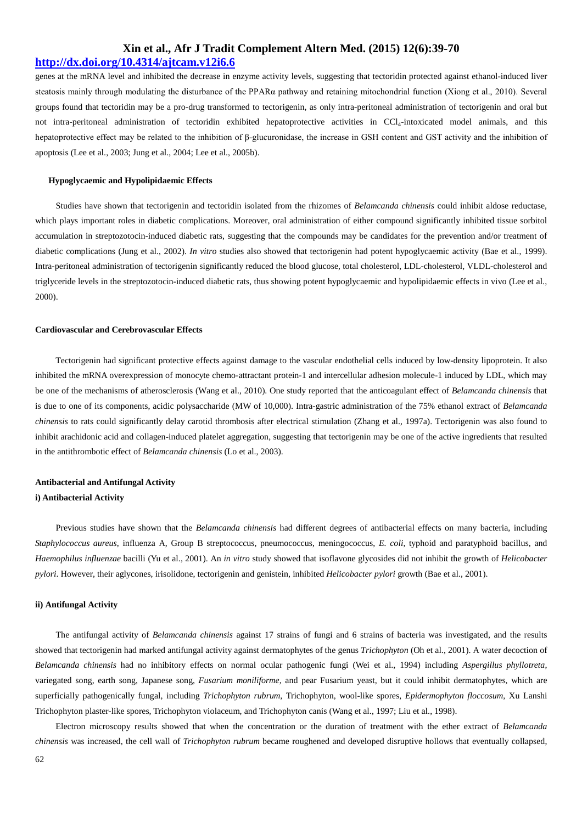genes at the mRNA level and inhibited the decrease in enzyme activity levels, suggesting that tectoridin protected against ethanol-induced liver steatosis mainly through modulating the disturbance of the PPARα pathway and retaining mitochondrial function (Xiong et al., 2010). Several groups found that tectoridin may be a pro-drug transformed to tectorigenin, as only intra-peritoneal administration of tectorigenin and oral but not intra-peritoneal administration of tectoridin exhibited hepatoprotective activities in CCl<sub>4</sub>-intoxicated model animals, and this hepatoprotective effect may be related to the inhibition of β-glucuronidase, the increase in GSH content and GST activity and the inhibition of apoptosis (Lee et al., 2003; Jung et al., 2004; Lee et al., 2005b).

#### **Hypoglycaemic and Hypolipidaemic Effects**

Studies have shown that tectorigenin and tectoridin isolated from the rhizomes of *Belamcanda chinensis* could inhibit aldose reductase, which plays important roles in diabetic complications. Moreover, oral administration of either compound significantly inhibited tissue sorbitol accumulation in streptozotocin-induced diabetic rats, suggesting that the compounds may be candidates for the prevention and/or treatment of diabetic complications (Jung et al., 2002). *In vitro* studies also showed that tectorigenin had potent hypoglycaemic activity (Bae et al., 1999). Intra-peritoneal administration of tectorigenin significantly reduced the blood glucose, total cholesterol, LDL-cholesterol, VLDL-cholesterol and triglyceride levels in the streptozotocin-induced diabetic rats, thus showing potent hypoglycaemic and hypolipidaemic effects in vivo (Lee et al., 2000).

### **Cardiovascular and Cerebrovascular Effects**

Tectorigenin had significant protective effects against damage to the vascular endothelial cells induced by low-density lipoprotein. It also inhibited the mRNA overexpression of monocyte chemo-attractant protein-1 and intercellular adhesion molecule-1 induced by LDL, which may be one of the mechanisms of atherosclerosis (Wang et al., 2010). One study reported that the anticoagulant effect of *Belamcanda chinensis* that is due to one of its components, acidic polysaccharide (MW of 10,000). Intra-gastric administration of the 75% ethanol extract of *Belamcanda chinensis* to rats could significantly delay carotid thrombosis after electrical stimulation (Zhang et al., 1997a). Tectorigenin was also found to inhibit arachidonic acid and collagen-induced platelet aggregation, suggesting that tectorigenin may be one of the active ingredients that resulted in the antithrombotic effect of *Belamcanda chinensis* (Lo et al., 2003).

## **Antibacterial and Antifungal Activity i) Antibacterial Activity**

Previous studies have shown that the *Belamcanda chinensis* had different degrees of antibacterial effects on many bacteria, including *Staphylococcus aureus*, influenza A, Group B streptococcus, pneumococcus, meningococcus, *E. coli*, typhoid and paratyphoid bacillus, and *Haemophilus influenzae* bacilli (Yu et al., 2001). An *in vitro* study showed that isoflavone glycosides did not inhibit the growth of *Helicobacter pylori*. However, their aglycones, irisolidone, tectorigenin and genistein, inhibited *Helicobacter pylori* growth (Bae et al., 2001).

#### **ii) Antifungal Activity**

The antifungal activity of *Belamcanda chinensis* against 17 strains of fungi and 6 strains of bacteria was investigated, and the results showed that tectorigenin had marked antifungal activity against dermatophytes of the genus *Trichophyton* (Oh et al., 2001). A water decoction of *Belamcanda chinensis* had no inhibitory effects on normal ocular pathogenic fungi (Wei et al., 1994) including *Aspergillus phyllotreta*, variegated song, earth song, Japanese song, *Fusarium moniliforme*, and pear Fusarium yeast, but it could inhibit dermatophytes, which are superficially pathogenically fungal, including *Trichophyton rubrum*, Trichophyton, wool-like spores, *Epidermophyton floccosum*, Xu Lanshi Trichophyton plaster-like spores, Trichophyton violaceum, and Trichophyton canis (Wang et al., 1997; Liu et al., 1998).

Electron microscopy results showed that when the concentration or the duration of treatment with the ether extract of *Belamcanda chinensis* was increased, the cell wall of *Trichophyton rubrum* became roughened and developed disruptive hollows that eventually collapsed,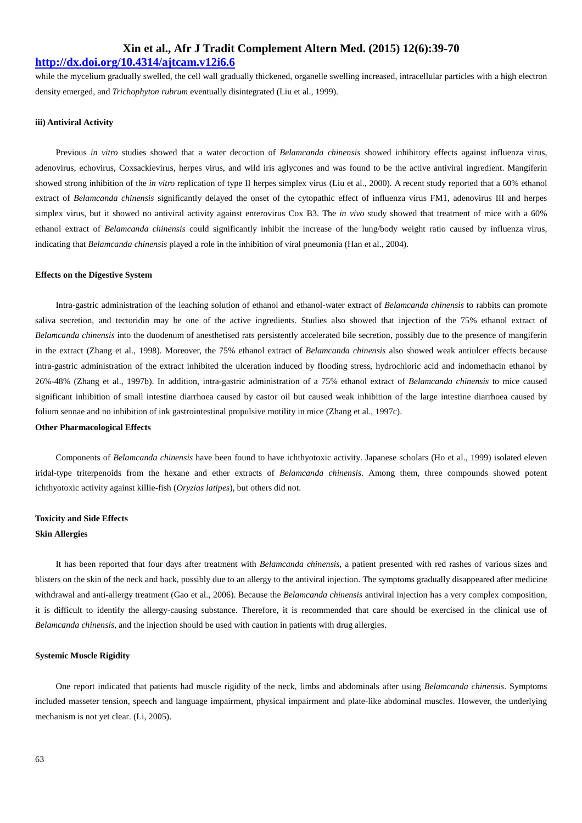while the mycelium gradually swelled, the cell wall gradually thickened, organelle swelling increased, intracellular particles with a high electron density emerged, and *Trichophyton rubrum* eventually disintegrated (Liu et al., 1999).

### **iii) Antiviral Activity**

Previous *in vitro* studies showed that a water decoction of *Belamcanda chinensis* showed inhibitory effects against influenza virus, adenovirus, echovirus, Coxsackievirus, herpes virus, and wild iris aglycones and was found to be the active antiviral ingredient. Mangiferin showed strong inhibition of the *in vitro* replication of type II herpes simplex virus (Liu et al., 2000). A recent study reported that a 60% ethanol extract of *Belamcanda chinensis* significantly delayed the onset of the cytopathic effect of influenza virus FM1, adenovirus III and herpes simplex virus, but it showed no antiviral activity against enterovirus Cox B3. The *in vivo* study showed that treatment of mice with a 60% ethanol extract of *Belamcanda chinensis* could significantly inhibit the increase of the lung/body weight ratio caused by influenza virus, indicating that *Belamcanda chinensis* played a role in the inhibition of viral pneumonia (Han et al., 2004).

#### **Effects on the Digestive System**

Intra-gastric administration of the leaching solution of ethanol and ethanol-water extract of *Belamcanda chinensis* to rabbits can promote saliva secretion, and tectoridin may be one of the active ingredients. Studies also showed that injection of the 75% ethanol extract of *Belamcanda chinensis* into the duodenum of anesthetised rats persistently accelerated bile secretion, possibly due to the presence of mangiferin in the extract (Zhang et al., 1998). Moreover, the 75% ethanol extract of *Belamcanda chinensis* also showed weak antiulcer effects because intra-gastric administration of the extract inhibited the ulceration induced by flooding stress, hydrochloric acid and indomethacin ethanol by 26%-48% (Zhang et al., 1997b). In addition, intra-gastric administration of a 75% ethanol extract of *Belamcanda chinensis* to mice caused significant inhibition of small intestine diarrhoea caused by castor oil but caused weak inhibition of the large intestine diarrhoea caused by folium sennae and no inhibition of ink gastrointestinal propulsive motility in mice (Zhang et al., 1997c).

#### **Other Pharmacological Effects**

Components of *Belamcanda chinensis* have been found to have ichthyotoxic activity. Japanese scholars (Ho et al., 1999) isolated eleven iridal-type triterpenoids from the hexane and ether extracts of *Belamcanda chinensis*. Among them, three compounds showed potent ichthyotoxic activity against killie-fish (*Oryzias latipes*), but others did not.

## **Toxicity and Side Effects Skin Allergies**

It has been reported that four days after treatment with *Belamcanda chinensis*, a patient presented with red rashes of various sizes and blisters on the skin of the neck and back, possibly due to an allergy to the antiviral injection. The symptoms gradually disappeared after medicine withdrawal and anti-allergy treatment (Gao et al., 2006). Because the *Belamcanda chinensis* antiviral injection has a very complex composition, it is difficult to identify the allergy-causing substance. Therefore, it is recommended that care should be exercised in the clinical use of *Belamcanda chinensis*, and the injection should be used with caution in patients with drug allergies.

### **Systemic Muscle Rigidity**

One report indicated that patients had muscle rigidity of the neck, limbs and abdominals after using *Belamcanda chinensis*. Symptoms included masseter tension, speech and language impairment, physical impairment and plate-like abdominal muscles. However, the underlying mechanism is not yet clear. (Li, 2005).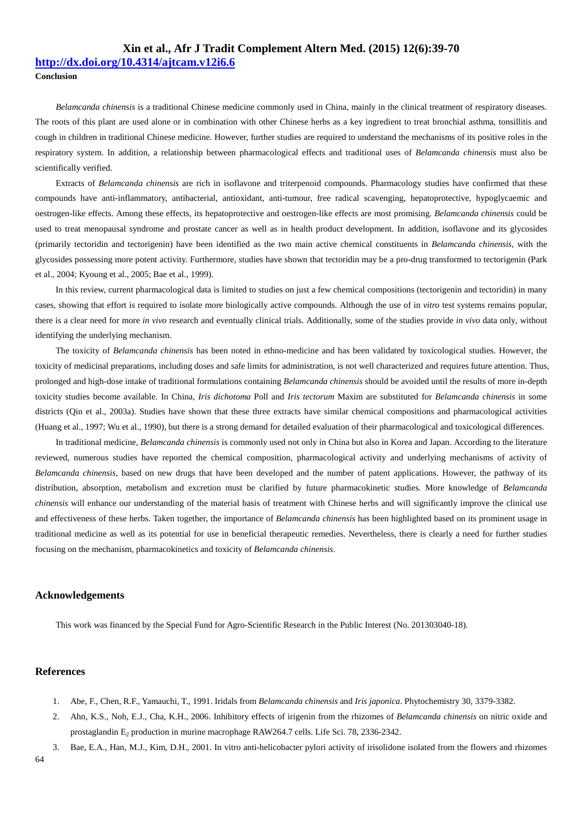### **Conclusion**

*Belamcanda chinensis* is a traditional Chinese medicine commonly used in China, mainly in the clinical treatment of respiratory diseases. The roots of this plant are used alone or in combination with other Chinese herbs as a key ingredient to treat bronchial asthma, tonsillitis and cough in children in traditional Chinese medicine. However, further studies are required to understand the mechanisms of its positive roles in the respiratory system. In addition, a relationship between pharmacological effects and traditional uses of *Belamcanda chinensis* must also be scientifically verified.

Extracts of *Belamcanda chinensis* are rich in isoflavone and triterpenoid compounds. Pharmacology studies have confirmed that these compounds have anti-inflammatory, antibacterial, antioxidant, anti-tumour, free radical scavenging, hepatoprotective, hypoglycaemic and oestrogen-like effects. Among these effects, its hepatoprotective and oestrogen-like effects are most promising. *Belamcanda chinensis* could be used to treat menopausal syndrome and prostate cancer as well as in health product development. In addition, isoflavone and its glycosides (primarily tectoridin and tectorigenin) have been identified as the two main active chemical constituents in *Belamcanda chinensis*, with the glycosides possessing more potent activity. Furthermore, studies have shown that tectoridin may be a pro-drug transformed to tectorigenin (Park et al., 2004; Kyoung et al., 2005; Bae et al., 1999).

In this review, current pharmacological data is limited to studies on just a few chemical compositions (tectorigenin and tectoridin) in many cases, showing that effort is required to isolate more biologically active compounds. Although the use of in *vitro* test systems remains popular, there is a clear need for more *in vivo* research and eventually clinical trials. Additionally, some of the studies provide *in vivo* data only, without identifying the underlying mechanism.

The toxicity of *Belamcanda chinensis* has been noted in ethno-medicine and has been validated by toxicological studies. However, the toxicity of medicinal preparations, including doses and safe limits for administration, is not well characterized and requires future attention. Thus, prolonged and high-dose intake of traditional formulations containing *Belamcanda chinensis* should be avoided until the results of more in-depth toxicity studies become available. In China, *Iris dichotoma* Poll and *Iris tectorum* Maxim are substituted for *Belamcanda chinensis* in some districts (Qin et al., 2003a). Studies have shown that these three extracts have similar chemical compositions and pharmacological activities (Huang et al., 1997; Wu et al., 1990), but there is a strong demand for detailed evaluation of their pharmacological and toxicological differences.

In traditional medicine, *Belamcanda chinensis* is commonly used not only in China but also in Korea and Japan. According to the literature reviewed, numerous studies have reported the chemical composition, pharmacological activity and underlying mechanisms of activity of *Belamcanda chinensis*, based on new drugs that have been developed and the number of patent applications. However, the pathway of its distribution, absorption, metabolism and excretion must be clarified by future pharmacokinetic studies. More knowledge of *Belamcanda chinensis* will enhance our understanding of the material basis of treatment with Chinese herbs and will significantly improve the clinical use and effectiveness of these herbs. Taken together, the importance of *Belamcanda chinensis* has been highlighted based on its prominent usage in traditional medicine as well as its potential for use in beneficial therapeutic remedies. Nevertheless, there is clearly a need for further studies focusing on the mechanism, pharmacokinetics and toxicity of *Belamcanda chinensis*.

### **Acknowledgements**

This work was financed by the Special Fund for Agro-Scientific Research in the Public Interest (No. 201303040-18).

### **References**

- 1. Abe, F., Chen, R.F., Yamauchi, T., 1991. Iridals from *Belamcanda chinensis* and *Iris japonica*. Phytochemistry 30, 3379-3382.
- 2. Ahn, K.S., Noh, E.J., Cha, K.H., 2006. Inhibitory effects of irigenin from the rhizomes of *Belamcanda chinensis* on nitric oxide and prostaglandin E<sup>2</sup> production in murine macrophage RAW264.7 cells. Life Sci. 78, 2336-2342.
- 3. Bae, E.A., Han, M.J., Kim, D.H., 2001. In vitro anti-helicobacter pylori activity of irisolidone isolated from the flowers and rhizomes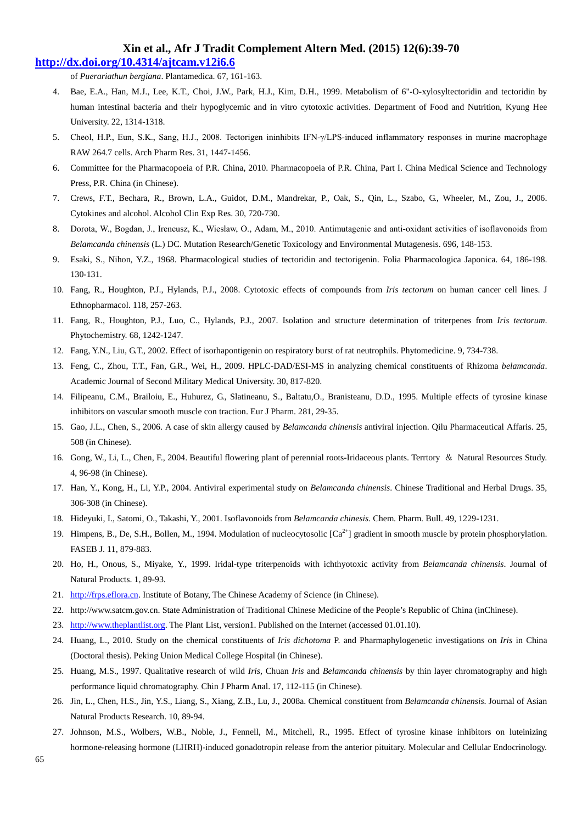of *Puerariathun bergiana*. Plantamedica. 67, 161-163.

- 4. Bae, E.A., Han, M.J., Lee, K.T., Choi, J.W., Park, H.J., Kim, D.H., 1999. Metabolism of 6"-O-xylosyltectoridin and tectoridin by human intestinal bacteria and their hypoglycemic and in vitro cytotoxic activities. Department of Food and Nutrition, Kyung Hee University. 22, 1314-1318.
- 5. Cheol, H.P., Eun, S.K., Sang, H.J., 2008. Tectorigen ininhibits IFN-γ/LPS-induced inflammatory responses in murine macrophage RAW 264.7 cells. Arch Pharm Res. 31, 1447-1456.
- 6. Committee for the Pharmacopoeia of P.R. China, 2010. Pharmacopoeia of P.R. China, Part I. China Medical Science and Technology Press, P.R. China (in Chinese).
- 7. Crews, F.T., Bechara, R., Brown, L.A., Guidot, D.M., Mandrekar, P., Oak, S., Qin, L., Szabo, G., Wheeler, M., Zou, J., 2006. Cytokines and alcohol. Alcohol Clin Exp Res. 30, 720-730.
- 8. Dorota, W., Bogdan, J., Ireneusz, K., Wiesław, O., Adam, M., 2010. Antimutagenic and anti-oxidant activities of isoflavonoids from *Belamcanda chinensis* (L.) DC. Mutation Research/Genetic Toxicology and Environmental Mutagenesis. 696, 148-153.
- 9. Esaki, S., Nihon, Y.Z., 1968. Pharmacological studies of tectoridin and tectorigenin. Folia Pharmacologica Japonica. 64, 186-198. 130-131.
- 10. Fang, R., Houghton, P.J., Hylands, P.J., 2008. Cytotoxic effects of compounds from *Iris tectorum* on human cancer cell lines. J Ethnopharmacol. 118, 257-263.
- 11. Fang, R., Houghton, P.J., Luo, C., Hylands, P.J., 2007. Isolation and structure determination of triterpenes from *Iris tectorum*. Phytochemistry. 68, 1242-1247.
- 12. Fang, Y.N., Liu, G.T., 2002. Effect of isorhapontigenin on respiratory burst of rat neutrophils. Phytomedicine. 9, 734-738.
- 13. Feng, C., Zhou, T.T., Fan, G.R., Wei, H., 2009. HPLC-DAD/ESI-MS in analyzing chemical constituents of Rhizoma *belamcanda*. Academic Journal of Second Military Medical University. 30, 817-820.
- 14. Filipeanu, C.M., Brailoiu, E., Huhurez, G., Slatineanu, S., Baltatu,O., Branisteanu, D.D., 1995. Multiple effects of tyrosine kinase inhibitors on vascular smooth muscle con traction. Eur J Pharm. 281, 29-35.
- 15. Gao, J.L., Chen, S., 2006. A case of skin allergy caused by *Belamcanda chinensis* antiviral injection. Qilu Pharmaceutical Affaris. 25, 508 (in Chinese).
- 16. Gong, W., Li, L., Chen, F., 2004. Beautiful flowering plant of perennial roots-Iridaceous plants. Terrtory & Natural Resources Study. 4, 96-98 (in Chinese).
- 17. Han, Y., Kong, H., Li, Y.P., 2004. Antiviral experimental study on *Belamcanda chinensis*. Chinese Traditional and Herbal Drugs. 35, 306-308 (in Chinese).
- 18. Hideyuki, I., Satomi, O., Takashi, Y., 2001. Isoflavonoids from *Belamcanda chinesis*. Chem. Pharm. Bull. 49, 1229-1231.
- 19. Himpens, B., De, S.H., Bollen, M., 1994. Modulation of nucleocytosolic  $[Ca^{2+}]$  gradient in smooth muscle by protein phosphorylation. FASEB J. 11, 879-883.
- 20. Ho, H., Onous, S., Miyake, Y., 1999. Iridal-type triterpenoids with ichthyotoxic activity from *Belamcanda chinensis*. Journal of Natural Products. 1, 89-93.
- 21. http://frps.eflora.cn. Institute of Botany, The Chinese Academy of Science (in Chinese).
- 22. http://www.satcm.gov.cn. State Administration of Traditional Chinese Medicine of the People's Republic of China (inChinese).
- 23. http://www.theplantlist.org. The Plant List, version1. Published on the Internet (accessed 01.01.10).
- 24. Huang, L., 2010. Study on the chemical constituents of *Iris dichotoma* P. and Pharmaphylogenetic investigations on *Iris* in China (Doctoral thesis). Peking Union Medical College Hospital (in Chinese).
- 25. Huang, M.S., 1997. Qualitative research of wild *Iris*, Chuan *Iris* and *Belamcanda chinensis* by thin layer chromatography and high performance liquid chromatography. Chin J Pharm Anal. 17, 112-115 (in Chinese).
- 26. Jin, L., Chen, H.S., Jin, Y.S., Liang, S., Xiang, Z.B., Lu, J., 2008a. Chemical constituent from *Belamcanda chinensis*. Journal of Asian Natural Products Research. 10, 89-94.
- 27. Johnson, M.S., Wolbers, W.B., Noble, J., Fennell, M., Mitchell, R., 1995. Effect of tyrosine kinase inhibitors on luteinizing hormone-releasing hormone (LHRH)-induced gonadotropin release from the anterior pituitary. Molecular and Cellular Endocrinology.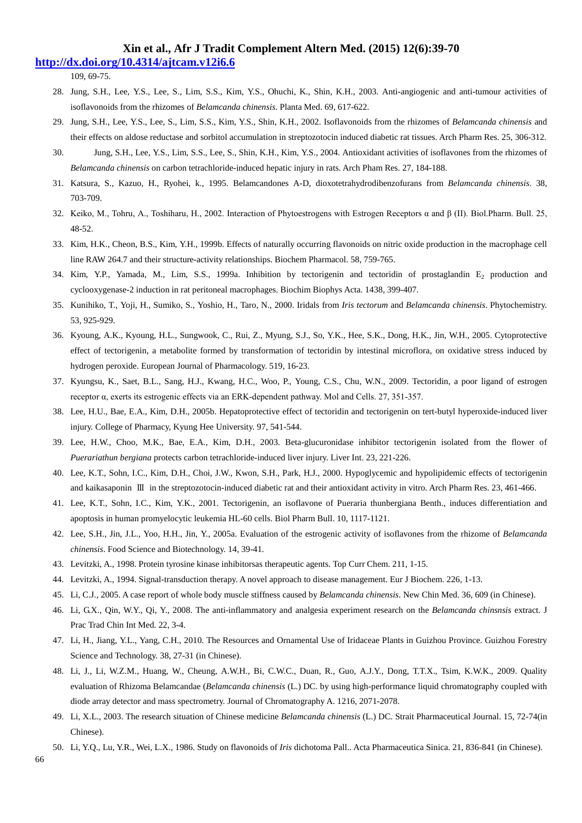109, 69-75.

- 28. Jung, S.H., Lee, Y.S., Lee, S., Lim, S.S., Kim, Y.S., Ohuchi, K., Shin, K.H., 2003. Anti-angiogenic and anti-tumour activities of isoflavonoids from the rhizomes of *Belamcanda chinensis*. Planta Med. 69, 617-622.
- 29. Jung, S.H., Lee, Y.S., Lee, S., Lim, S.S., Kim, Y.S., Shin, K.H., 2002. Isoflavonoids from the rhizomes of *Belamcanda chinensis* and their effects on aldose reductase and sorbitol accumulation in streptozotocin induced diabetic rat tissues. Arch Pharm Res. 25, 306-312.
- 30. Jung, S.H., Lee, Y.S., Lim, S.S., Lee, S., Shin, K.H., Kim, Y.S., 2004. Antioxidant activities of isoflavones from the rhizomes of *Belamcanda chinensis* on carbon tetrachloride-induced hepatic injury in rats. Arch Pham Res. 27, 184-188.
- 31. Katsura, S., Kazuo, H., Ryohei, k., 1995. Belamcandones A-D, dioxotetrahydrodibenzofurans from *Belamcanda chinensis*. 38, 703-709.
- 32. Keiko, M., Tohru, A., Toshiharu, H., 2002. Interaction of Phytoestrogens with Estrogen Receptors α and β (II). Biol.Pharm. Bull. 25, 48-52.
- 33. Kim, H.K., Cheon, B.S., Kim, Y.H., 1999b. Effects of naturally occurring flavonoids on nitric oxide production in the macrophage cell line RAW 264.7 and their structure-activity relationships. Biochem Pharmacol. 58, 759-765.
- 34. Kim, Y.P., Yamada, M., Lim, S.S., 1999a. Inhibition by tectorigenin and tectoridin of prostaglandin E<sub>2</sub> production and cyclooxygenase-2 induction in rat peritoneal macrophages. Biochim Biophys Acta. 1438, 399-407.
- 35. Kunihiko, T., Yoji, H., Sumiko, S., Yoshio, H., Taro, N., 2000. Iridals from *Iris tectorum* and *Belamcanda chinensis*. Phytochemistry. 53, 925-929.
- 36. Kyoung, A.K., Kyoung, H.L., Sungwook, C., Rui, Z., Myung, S.J., So, Y.K., Hee, S.K., Dong, H.K., Jin, W.H., 2005. Cytoprotective effect of tectorigenin, a metabolite formed by transformation of tectoridin by intestinal microflora, on oxidative stress induced by hydrogen peroxide. European Journal of Pharmacology. 519, 16-23.
- 37. Kyungsu, K., Saet, B.L., Sang, H.J., Kwang, H.C., Woo, P., Young, C.S., Chu, W.N., 2009. Tectoridin, a poor ligand of estrogen receptor α, exerts its estrogenic effects via an ERK-dependent pathway. Mol and Cells. 27, 351-357.
- 38. Lee, H.U., Bae, E.A., Kim, D.H., 2005b. Hepatoprotective effect of tectoridin and tectorigenin on tert-butyl hyperoxide-induced liver injury. College of Pharmacy, Kyung Hee University. 97, 541-544.
- 39. Lee, H.W., Choo, M.K., Bae, E.A., Kim, D.H., 2003. Beta-glucuronidase inhibitor tectorigenin isolated from the flower of *Puerariathun bergiana* protects carbon tetrachloride-induced liver injury. Liver Int. 23, 221-226.
- 40. Lee, K.T., Sohn, I.C., Kim, D.H., Choi, J.W., Kwon, S.H., Park, H.J., 2000. Hypoglycemic and hypolipidemic effects of tectorigenin and kaikasaponin III in the streptozotocin-induced diabetic rat and their antioxidant activity in vitro. Arch Pharm Res. 23, 461-466.
- 41. Lee, K.T., Sohn, I.C., Kim, Y.K., 2001. Tectorigenin, an isoflavone of Pueraria thunbergiana Benth., induces differentiation and apoptosis in human promyelocytic leukemia HL-60 cells. Biol Pharm Bull. 10, 1117-1121.
- 42. Lee, S.H., Jin, J.L., Yoo, H.H., Jin, Y., 2005a. Evaluation of the estrogenic activity of isoflavones from the rhizome of *Belamcanda chinensis*. Food Science and Biotechnology. 14, 39-41.
- 43. Levitzki, A., 1998. Protein tyrosine kinase inhibitorsas therapeutic agents. Top Curr Chem. 211, 1-15.
- 44. Levitzki, A., 1994. Signal-transduction therapy. A novel approach to disease management. Eur J Biochem. 226, 1-13.
- 45. Li, C.J., 2005. A case report of whole body muscle stiffness caused by *Belamcanda chinensis*. New Chin Med. 36, 609 (in Chinese).
- 46. Li, G.X., Qin, W.Y., Qi, Y., 2008. The anti-inflammatory and analgesia experiment research on the *Belamcanda chinsnsis* extract. J Prac Trad Chin Int Med. 22, 3-4.
- 47. Li, H., Jiang, Y.L., Yang, C.H., 2010. The Resources and Ornamental Use of Iridaceae Plants in Guizhou Province. Guizhou Forestry Science and Technology. 38, 27-31 (in Chinese).
- 48. Li, J., Li, W.Z.M., Huang, W., Cheung, A.W.H., Bi, C.W.C., Duan, R., Guo, A.J.Y., Dong, T.T.X., Tsim, K.W.K., 2009. Quality evaluation of Rhizoma Belamcandae (*Belamcanda chinensis* (L.) DC. by using high-performance liquid chromatography coupled with diode array detector and mass spectrometry. Journal of Chromatography A. 1216, 2071-2078.
- 49. Li, X.L., 2003. The research situation of Chinese medicine *Belamcanda chinensis* (L.) DC. Strait Pharmaceutical Journal. 15, 72-74(in Chinese).
- 50. Li, Y.Q., Lu, Y.R., Wei, L.X., 1986. Study on flavonoids of *Iris* dichotoma Pall.. Acta Pharmaceutica Sinica. 21, 836-841 (in Chinese).

66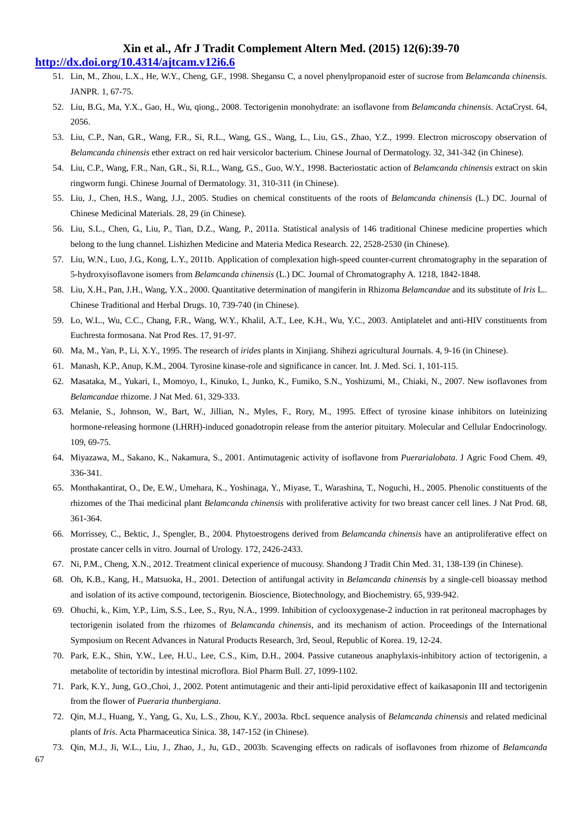- 51. Lin, M., Zhou, L.X., He, W.Y., Cheng, G.F., 1998. Shegansu C, a novel phenylpropanoid ester of sucrose from *Belamcanda chinensis*. JANPR. 1, 67-75.
- 52. Liu, B.G., Ma, Y.X., Gao, H., Wu, qiong., 2008. Tectorigenin monohydrate: an isoflavone from *Belamcanda chinensis*. ActaCryst. 64, 2056.
- 53. Liu, C.P., Nan, G.R., Wang, F.R., Si, R.L., Wang, G.S., Wang, L., Liu, G.S., Zhao, Y.Z., 1999. Electron microscopy observation of *Belamcanda chinensis* ether extract on red hair versicolor bacterium. Chinese Journal of Dermatology. 32, 341-342 (in Chinese).
- 54. Liu, C.P., Wang, F.R., Nan, G.R., Si, R.L., Wang, G.S., Guo, W.Y., 1998. Bacteriostatic action of *Belamcanda chinensis* extract on skin ringworm fungi. Chinese Journal of Dermatology. 31, 310-311 (in Chinese).
- 55. Liu, J., Chen, H.S., Wang, J.J., 2005. Studies on chemical constituents of the roots of *Belamcanda chinensis* (L.) DC. Journal of Chinese Medicinal Materials. 28, 29 (in Chinese).
- 56. Liu, S.L., Chen, G., Liu, P., Tian, D.Z., Wang, P., 2011a. Statistical analysis of 146 traditional Chinese medicine properties which belong to the lung channel. Lishizhen Medicine and Materia Medica Research. 22, 2528-2530 (in Chinese).
- 57. Liu, W.N., Luo, J.G., Kong, L.Y., 2011b. Application of complexation high-speed counter-current chromatography in the separation of 5-hydroxyisoflavone isomers from *Belamcanda chinensis* (L.) DC. Journal of Chromatography A. 1218, 1842-1848.
- 58. Liu, X.H., Pan, J.H., Wang, Y.X., 2000. Quantitative determination of mangiferin in Rhizoma *Belamcandae* and its substitute of *Iris* L.. Chinese Traditional and Herbal Drugs. 10, 739-740 (in Chinese).
- 59. Lo, W.L., Wu, C.C., Chang, F.R., Wang, W.Y., Khalil, A.T., Lee, K.H., Wu, Y.C., 2003. Antiplatelet and anti-HIV constituents from Euchresta formosana. Nat Prod Res. 17, 91-97.
- 60. Ma, M., Yan, P., Li, X.Y., 1995. The research of *irides* plants in Xinjiang. Shihezi agricultural Journals. 4, 9-16 (in Chinese).
- 61. Manash, K.P., Anup, K.M., 2004. Tyrosine kinase-role and significance in cancer. Int. J. Med. Sci. 1, 101-115.
- 62. Masataka, M., Yukari, I., Momoyo, I., Kinuko, I., Junko, K., Fumiko, S.N., Yoshizumi, M., Chiaki, N., 2007. New isoflavones from *Belamcandae* rhizome. J Nat Med. 61, 329-333.
- 63. Melanie, S., Johnson, W., Bart, W., Jillian, N., Myles, F., Rory, M., 1995. Effect of tyrosine kinase inhibitors on luteinizing hormone-releasing hormone (LHRH)-induced gonadotropin release from the anterior pituitary. Molecular and Cellular Endocrinology. 109, 69-75.
- 64. Miyazawa, M., Sakano, K., Nakamura, S., 2001. Antimutagenic activity of isoflavone from *Puerarialobata*. J Agric Food Chem. 49, 336-341.
- 65. Monthakantirat, O., De, E.W., Umehara, K., Yoshinaga, Y., Miyase, T., Warashina, T., Noguchi, H., 2005. Phenolic constituents of the rhizomes of the Thai medicinal plant *Belamcanda chinensis* with proliferative activity for two breast cancer cell lines. J Nat Prod. 68, 361-364.
- 66. Morrissey, C., Bektic, J., Spengler, B., 2004. Phytoestrogens derived from *Belamcanda chinensis* have an antiproliferative effect on prostate cancer cells in vitro. Journal of Urology. 172, 2426-2433.
- 67. Ni, P.M., Cheng, X.N., 2012. Treatment clinical experience of mucousy. Shandong J Tradit Chin Med. 31, 138-139 (in Chinese).
- 68. Oh, K.B., Kang, H., Matsuoka, H., 2001. Detection of antifungal activity in *Belamcanda chinensis* by a single-cell bioassay method and isolation of its active compound, tectorigenin. Bioscience, Biotechnology, and Biochemistry. 65, 939-942.
- 69. Ohuchi, k., Kim, Y.P., Lim, S.S., Lee, S., Ryu, N.A., 1999. Inhibition of cyclooxygenase-2 induction in rat peritoneal macrophages by tectorigenin isolated from the rhizomes of *Belamcanda chinensis*, and its mechanism of action. Proceedings of the International Symposium on Recent Advances in Natural Products Research, 3rd, Seoul, Republic of Korea. 19, 12-24.
- 70. Park, E.K., Shin, Y.W., Lee, H.U., Lee, C.S., Kim, D.H., 2004. Passive cutaneous anaphylaxis-inhibitory action of tectorigenin, a metabolite of tectoridin by intestinal microflora. Biol Pharm Bull. 27, 1099-1102.
- 71. Park, K.Y., Jung, G.O.,Choi, J., 2002. Potent antimutagenic and their anti-lipid peroxidative effect of kaikasaponin III and tectorigenin from the flower of *Pueraria thunbergiana*.
- 72. Qin, M.J., Huang, Y., Yang, G., Xu, L.S., Zhou, K.Y., 2003a. RbcL sequence analysis of *Belamcanda chinensis* and related medicinal plants of *Iris*. Acta Pharmaceutica Sinica. 38, 147-152 (in Chinese).
- 73. Qin, M.J., Ji, W.L., Liu, J., Zhao, J., Ju, G.D., 2003b. Scavenging effects on radicals of isoflavones from rhizome of *Belamcanda*

67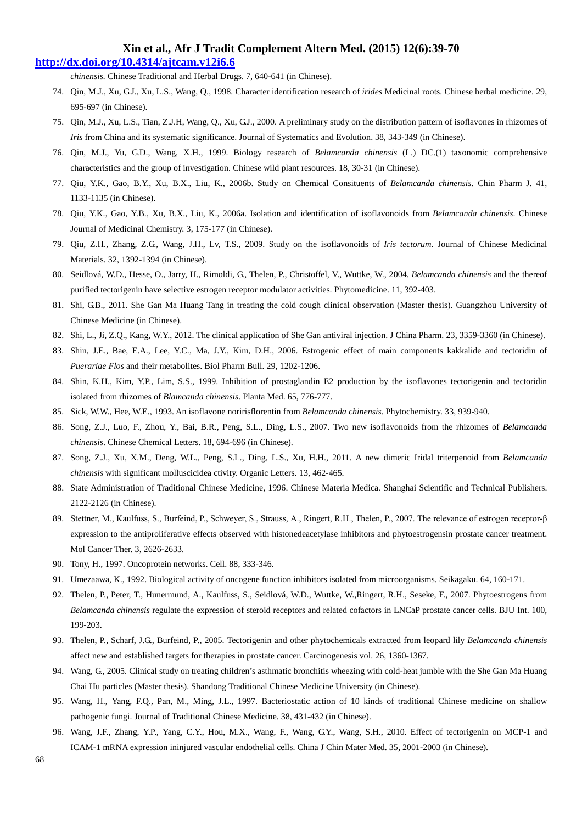*chinensis.* Chinese Traditional and Herbal Drugs. 7, 640-641 (in Chinese).

- 74. Qin, M.J., Xu, G.J., Xu, L.S., Wang, Q., 1998. Character identification research of *irides* Medicinal roots. Chinese herbal medicine. 29, 695-697 (in Chinese).
- 75. Qin, M.J., Xu, L.S., Tian, Z.J.H, Wang, Q., Xu, G.J., 2000. A preliminary study on the distribution pattern of isoflavones in rhizomes of *Iris* from China and its systematic significance. Journal of Systematics and Evolution. 38, 343-349 (in Chinese).
- 76. Qin, M.J., Yu, G.D., Wang, X.H., 1999. Biology research of *Belamcanda chinensis* (L.) DC.(1) taxonomic comprehensive characteristics and the group of investigation. Chinese wild plant resources. 18, 30-31 (in Chinese).
- 77. Qiu, Y.K., Gao, B.Y., Xu, B.X., Liu, K., 2006b. Study on Chemical Consituents of *Belamcanda chinensis*. Chin Pharm J. 41, 1133-1135 (in Chinese).
- 78. Qiu, Y.K., Gao, Y.B., Xu, B.X., Liu, K., 2006a. Isolation and identification of isoflavonoids from *Belamcanda chinensis*. Chinese Journal of Medicinal Chemistry. 3, 175-177 (in Chinese).
- 79. Qiu, Z.H., Zhang, Z.G., Wang, J.H., Lv, T.S., 2009. Study on the isoflavonoids of *Iris tectorum*. Journal of Chinese Medicinal Materials. 32, 1392-1394 (in Chinese).
- 80. Seidlová, W.D., Hesse, O., Jarry, H., Rimoldi, G., Thelen, P., Christoffel, V., Wuttke, W., 2004. *Belamcanda chinensis* and the thereof purified tectorigenin have selective estrogen receptor modulator activities. Phytomedicine. 11, 392-403.
- 81. Shi, G.B., 2011. She Gan Ma Huang Tang in treating the cold cough clinical observation (Master thesis). Guangzhou University of Chinese Medicine (in Chinese).
- 82. Shi, L., Ji, Z.Q., Kang, W.Y., 2012. The clinical application of She Gan antiviral injection. J China Pharm. 23, 3359-3360 (in Chinese).
- 83. Shin, J.E., Bae, E.A., Lee, Y.C., Ma, J.Y., Kim, D.H., 2006. Estrogenic effect of main components kakkalide and tectoridin of *Puerariae Flos* and their metabolites. Biol Pharm Bull. 29, 1202-1206.
- 84. Shin, K.H., Kim, Y.P., Lim, S.S., 1999. Inhibition of prostaglandin E2 production by the isoflavones tectorigenin and tectoridin isolated from rhizomes of *Blamcanda chinensis*. Planta Med. 65, 776-777.
- 85. Sick, W.W., Hee, W.E., 1993. An isoflavone noririsflorentin from *Belamcanda chinensis*. Phytochemistry. 33, 939-940.
- 86. Song, Z.J., Luo, F., Zhou, Y., Bai, B.R., Peng, S.L., Ding, L.S., 2007. Two new isoflavonoids from the rhizomes of *Belamcanda chinensis*. Chinese Chemical Letters. 18, 694-696 (in Chinese).
- 87. Song, Z.J., Xu, X.M., Deng, W.L., Peng, S.L., Ding, L.S., Xu, H.H., 2011. A new dimeric Iridal triterpenoid from *Belamcanda chinensis* with significant molluscicidea ctivity. Organic Letters. 13, 462-465.
- 88. State Administration of Traditional Chinese Medicine, 1996. Chinese Materia Medica. Shanghai Scientific and Technical Publishers. 2122-2126 (in Chinese).
- 89. Stettner, M., Kaulfuss, S., Burfeind, P., Schweyer, S., Strauss, A., Ringert, R.H., Thelen, P., 2007. The relevance of estrogen receptor-β expression to the antiproliferative effects observed with histonedeacetylase inhibitors and phytoestrogensin prostate cancer treatment. Mol Cancer Ther. 3, 2626-2633.
- 90. Tony, H., 1997. Oncoprotein networks. Cell. 88, 333-346.
- 91. Umezaawa, K., 1992. Biological activity of oncogene function inhibitors isolated from microorganisms. Seikagaku. 64, 160-171.
- 92. Thelen, P., Peter, T., Hunermund, A., Kaulfuss, S., Seidlová, W.D., Wuttke, W.,Ringert, R.H., Seseke, F., 2007. Phytoestrogens from *Belamcanda chinensis* regulate the expression of steroid receptors and related cofactors in LNCaP prostate cancer cells. BJU Int. 100, 199-203.
- 93. Thelen, P., Scharf, J.G., Burfeind, P., 2005. Tectorigenin and other phytochemicals extracted from leopard lily *Belamcanda chinensis* affect new and established targets for therapies in prostate cancer. Carcinogenesis vol. 26, 1360-1367.
- 94. Wang, G., 2005. Clinical study on treating children's asthmatic bronchitis wheezing with cold-heat jumble with the She Gan Ma Huang Chai Hu particles (Master thesis). Shandong Traditional Chinese Medicine University (in Chinese).
- 95. Wang, H., Yang, F.Q., Pan, M., Ming, J.L., 1997. Bacteriostatic action of 10 kinds of traditional Chinese medicine on shallow pathogenic fungi. Journal of Traditional Chinese Medicine. 38, 431-432 (in Chinese).
- 96. Wang, J.F., Zhang, Y.P., Yang, C.Y., Hou, M.X., Wang, F., Wang, G.Y., Wang, S.H., 2010. Effect of tectorigenin on MCP-1 and ICAM-1 mRNA expression ininjured vascular endothelial cells. China J Chin Mater Med. 35, 2001-2003 (in Chinese).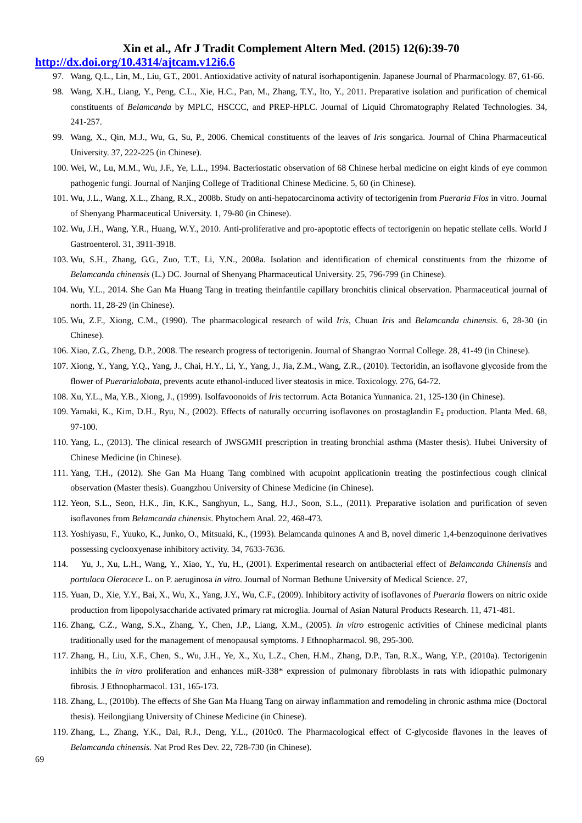- 97. Wang, Q.L., Lin, M., Liu, G.T., 2001. Antioxidative activity of natural isorhapontigenin. Japanese Journal of Pharmacology. 87, 61-66.
- 98. Wang, X.H., Liang, Y., Peng, C.L., Xie, H.C., Pan, M., Zhang, T.Y., Ito, Y., 2011. Preparative isolation and purification of chemical constituents of *Belamcanda* by MPLC, HSCCC, and PREP-HPLC. Journal of Liquid Chromatography Related Technologies. 34, 241-257.
- 99. Wang, X., Qin, M.J., Wu, G., Su, P., 2006. Chemical constituents of the leaves of *Iris* songarica. Journal of China Pharmaceutical University. 37, 222-225 (in Chinese).
- 100. Wei, W., Lu, M.M., Wu, J.F., Ye, L.L., 1994. Bacteriostatic observation of 68 Chinese herbal medicine on eight kinds of eye common pathogenic fungi. Journal of Nanjing College of Traditional Chinese Medicine. 5, 60 (in Chinese).
- 101. Wu, J.L., Wang, X.L., Zhang, R.X., 2008b. Study on anti-hepatocarcinoma activity of tectorigenin from *Pueraria Flos* in vitro. Journal of Shenyang Pharmaceutical University. 1, 79-80 (in Chinese).
- 102. Wu, J.H., Wang, Y.R., Huang, W.Y., 2010. Anti-proliferative and pro-apoptotic effects of tectorigenin on hepatic stellate cells. World J Gastroenterol. 31, 3911-3918.
- 103. Wu, S.H., Zhang, G.G., Zuo, T.T., Li, Y.N., 2008a. Isolation and identification of chemical constituents from the rhizome of *Belamcanda chinensis* (L.) DC. Journal of Shenyang Pharmaceutical University. 25, 796-799 (in Chinese).
- 104. Wu, Y.L., 2014. She Gan Ma Huang Tang in treating theinfantile capillary bronchitis clinical observation. Pharmaceutical journal of north. 11, 28-29 (in Chinese).
- 105. Wu, Z.F., Xiong, C.M., (1990). The pharmacological research of wild *Iris*, Chuan *Iris* and *Belamcanda chinensis*. 6, 28-30 (in Chinese).
- 106. Xiao, Z.G., Zheng, D.P., 2008. The research progress of tectorigenin. Journal of Shangrao Normal College. 28, 41-49 (in Chinese).
- 107. Xiong, Y., Yang, Y.Q., Yang, J., Chai, H.Y., Li, Y., Yang, J., Jia, Z.M., Wang, Z.R., (2010). Tectoridin, an isoflavone glycoside from the flower of *Puerarialobata*, prevents acute ethanol-induced liver steatosis in mice. Toxicology. 276, 64-72.
- 108. Xu, Y.L., Ma, Y.B., Xiong, J., (1999). Isolfavoonoids of *Iris* tectorrum. Acta Botanica Yunnanica. 21, 125-130 (in Chinese).
- 109. Yamaki, K., Kim, D.H., Ryu, N., (2002). Effects of naturally occurring isoflavones on prostaglandin E<sub>2</sub> production. Planta Med. 68, 97-100.
- 110. Yang, L., (2013). The clinical research of JWSGMH prescription in treating bronchial asthma (Master thesis). Hubei University of Chinese Medicine (in Chinese).
- 111. Yang, T.H., (2012). She Gan Ma Huang Tang combined with acupoint applicationin treating the postinfectious cough clinical observation (Master thesis). Guangzhou University of Chinese Medicine (in Chinese).
- 112. Yeon, S.L., Seon, H.K., Jin, K.K., Sanghyun, L., Sang, H.J., Soon, S.L., (2011). Preparative isolation and purification of seven isoflavones from *Belamcanda chinensis*. Phytochem Anal. 22, 468-473.
- 113. Yoshiyasu, F., Yuuko, K., Junko, O., Mitsuaki, K., (1993). Belamcanda quinones A and B, novel dimeric 1,4-benzoquinone derivatives possessing cyclooxyenase inhibitory activity. 34, 7633-7636.
- 114. Yu, J., Xu, L.H., Wang, Y., Xiao, Y., Yu, H., (2001). Experimental research on antibacterial effect of *Belamcanda Chinensis* and *portulaca Oleracece* L. on P. aeruginosa *in vitro*. Journal of Norman Bethune University of Medical Science. 27,
- 115. Yuan, D., Xie, Y.Y., Bai, X., Wu, X., Yang, J.Y., Wu, C.F., (2009). Inhibitory activity of isoflavones of *Pueraria* flowers on nitric oxide production from lipopolysaccharide activated primary rat microglia. Journal of Asian Natural Products Research. 11, 471-481.
- 116. Zhang, C.Z., Wang, S.X., Zhang, Y., Chen, J.P., Liang, X.M., (2005). *In vitro* estrogenic activities of Chinese medicinal plants traditionally used for the management of menopausal symptoms. J Ethnopharmacol. 98, 295-300.
- 117. Zhang, H., Liu, X.F., Chen, S., Wu, J.H., Ye, X., Xu, L.Z., Chen, H.M., Zhang, D.P., Tan, R.X., Wang, Y.P., (2010a). Tectorigenin inhibits the *in vitro* proliferation and enhances miR-338\* expression of pulmonary fibroblasts in rats with idiopathic pulmonary fibrosis. J Ethnopharmacol. 131, 165-173.
- 118. Zhang, L., (2010b). The effects of She Gan Ma Huang Tang on airway inflammation and remodeling in chronic asthma mice (Doctoral thesis). Heilongjiang University of Chinese Medicine (in Chinese).
- 119. Zhang, L., Zhang, Y.K., Dai, R.J., Deng, Y.L., (2010c0. The Pharmacological effect of C-glycoside flavones in the leaves of *Belamcanda chinensis*. Nat Prod Res Dev. 22, 728-730 (in Chinese).